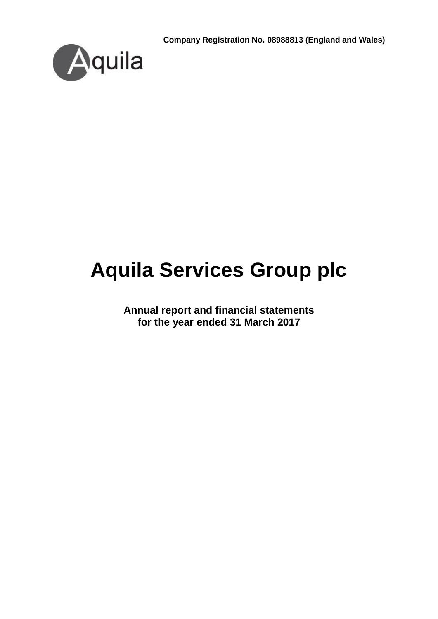**Company Registration No. 08988813 (England and Wales)**



# **Aquila Services Group plc**

**Annual report and financial statements for the year ended 31 March 2017**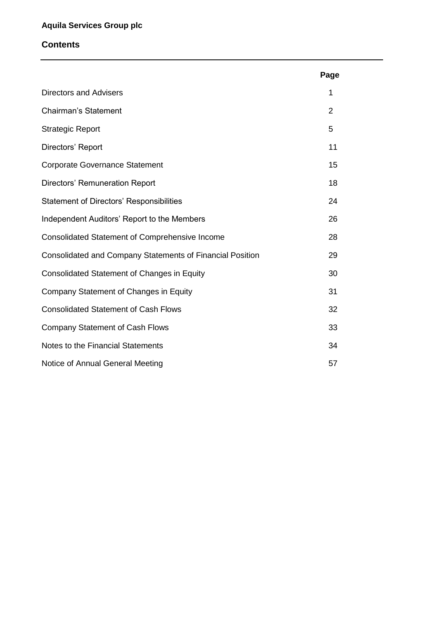#### **Contents**

|                                                           | Page           |
|-----------------------------------------------------------|----------------|
| <b>Directors and Advisers</b>                             | 1              |
| <b>Chairman's Statement</b>                               | $\overline{2}$ |
| <b>Strategic Report</b>                                   | 5              |
| Directors' Report                                         | 11             |
| <b>Corporate Governance Statement</b>                     | 15             |
| Directors' Remuneration Report                            | 18             |
| <b>Statement of Directors' Responsibilities</b>           | 24             |
| Independent Auditors' Report to the Members               | 26             |
| <b>Consolidated Statement of Comprehensive Income</b>     | 28             |
| Consolidated and Company Statements of Financial Position | 29             |
| <b>Consolidated Statement of Changes in Equity</b>        | 30             |
| Company Statement of Changes in Equity                    | 31             |
| <b>Consolidated Statement of Cash Flows</b>               | 32             |
| <b>Company Statement of Cash Flows</b>                    | 33             |
| Notes to the Financial Statements                         | 34             |
| Notice of Annual General Meeting                          | 57             |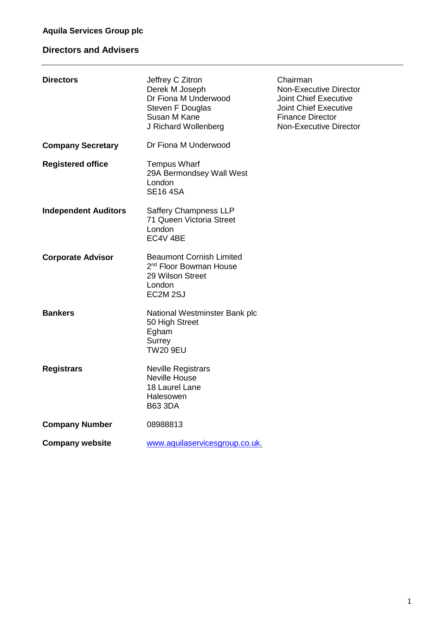# **Directors and Advisers**

| <b>Directors</b>            | Jeffrey C Zitron<br>Derek M Joseph<br>Dr Fiona M Underwood<br><b>Steven F Douglas</b><br>Susan M Kane<br>J Richard Wollenberg | Chairman<br><b>Non-Executive Director</b><br><b>Joint Chief Executive</b><br><b>Joint Chief Executive</b><br><b>Finance Director</b><br><b>Non-Executive Director</b> |
|-----------------------------|-------------------------------------------------------------------------------------------------------------------------------|-----------------------------------------------------------------------------------------------------------------------------------------------------------------------|
| <b>Company Secretary</b>    | Dr Fiona M Underwood                                                                                                          |                                                                                                                                                                       |
| <b>Registered office</b>    | <b>Tempus Wharf</b><br>29A Bermondsey Wall West<br>London<br><b>SE16 4SA</b>                                                  |                                                                                                                                                                       |
| <b>Independent Auditors</b> | <b>Saffery Champness LLP</b><br>71 Queen Victoria Street<br>London<br>EC4V 4BE                                                |                                                                                                                                                                       |
| <b>Corporate Advisor</b>    | <b>Beaumont Cornish Limited</b><br>2 <sup>nd</sup> Floor Bowman House<br>29 Wilson Street<br>London<br>EC2M <sub>2SJ</sub>    |                                                                                                                                                                       |
| <b>Bankers</b>              | National Westminster Bank plc<br>50 High Street<br>Egham<br>Surrey<br><b>TW20 9EU</b>                                         |                                                                                                                                                                       |
| <b>Registrars</b>           | <b>Neville Registrars</b><br><b>Neville House</b><br>18 Laurel Lane<br>Halesowen<br><b>B63 3DA</b>                            |                                                                                                                                                                       |
| <b>Company Number</b>       | 08988813                                                                                                                      |                                                                                                                                                                       |
| <b>Company website</b>      | www.aquilaservicesgroup.co.uk.                                                                                                |                                                                                                                                                                       |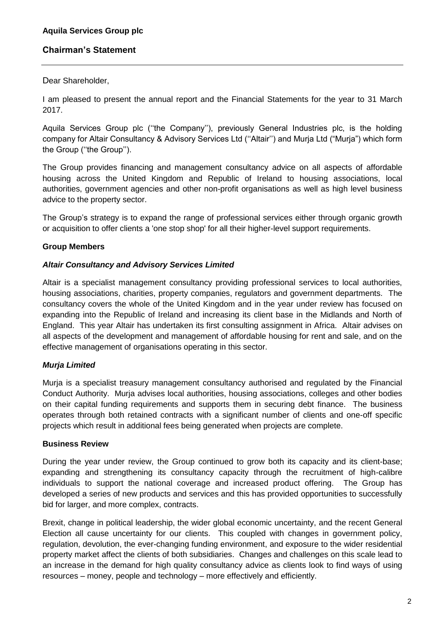## **Chairman's Statement**

Dear Shareholder,

I am pleased to present the annual report and the Financial Statements for the year to 31 March 2017.

Aquila Services Group plc (''the Company''), previously General Industries plc, is the holding company for Altair Consultancy & Advisory Services Ltd (''Altair'') and Murja Ltd ("Murja") which form the Group (''the Group'').

The Group provides financing and management consultancy advice on all aspects of affordable housing across the United Kingdom and Republic of Ireland to housing associations, local authorities, government agencies and other non-profit organisations as well as high level business advice to the property sector.

The Group's strategy is to expand the range of professional services either through organic growth or acquisition to offer clients a 'one stop shop' for all their higher-level support requirements.

## **Group Members**

## *Altair Consultancy and Advisory Services Limited*

Altair is a specialist management consultancy providing professional services to local authorities, housing associations, charities, property companies, regulators and government departments. The consultancy covers the whole of the United Kingdom and in the year under review has focused on expanding into the Republic of Ireland and increasing its client base in the Midlands and North of England. This year Altair has undertaken its first consulting assignment in Africa. Altair advises on all aspects of the development and management of affordable housing for rent and sale, and on the effective management of organisations operating in this sector.

## *Murja Limited*

Murja is a specialist treasury management consultancy authorised and regulated by the Financial Conduct Authority. Murja advises local authorities, housing associations, colleges and other bodies on their capital funding requirements and supports them in securing debt finance. The business operates through both retained contracts with a significant number of clients and one-off specific projects which result in additional fees being generated when projects are complete.

## **Business Review**

During the year under review, the Group continued to grow both its capacity and its client-base; expanding and strengthening its consultancy capacity through the recruitment of high-calibre individuals to support the national coverage and increased product offering. The Group has developed a series of new products and services and this has provided opportunities to successfully bid for larger, and more complex, contracts.

Brexit, change in political leadership, the wider global economic uncertainty, and the recent General Election all cause uncertainty for our clients. This coupled with changes in government policy, regulation, devolution, the ever-changing funding environment, and exposure to the wider residential property market affect the clients of both subsidiaries. Changes and challenges on this scale lead to an increase in the demand for high quality consultancy advice as clients look to find ways of using resources – money, people and technology – more effectively and efficiently.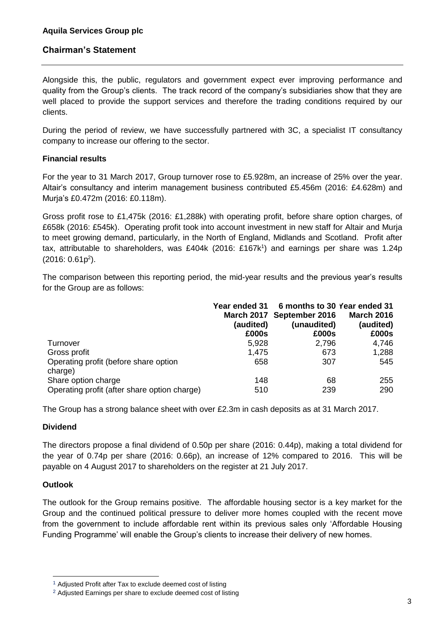## **Chairman's Statement**

Alongside this, the public, regulators and government expect ever improving performance and quality from the Group's clients. The track record of the company's subsidiaries show that they are well placed to provide the support services and therefore the trading conditions required by our clients.

During the period of review, we have successfully partnered with 3C, a specialist IT consultancy company to increase our offering to the sector.

#### **Financial results**

For the year to 31 March 2017, Group turnover rose to £5.928m, an increase of 25% over the year. Altair's consultancy and interim management business contributed £5.456m (2016: £4.628m) and Murja's £0.472m (2016: £0.118m).

Gross profit rose to £1,475k (2016: £1,288k) with operating profit, before share option charges, of £658k (2016: £545k). Operating profit took into account investment in new staff for Altair and Murja to meet growing demand, particularly, in the North of England, Midlands and Scotland. Profit after tax, attributable to shareholders, was £404k (2016: £167k<sup>1</sup>) and earnings per share was 1.24p  $(2016: 0.61p<sup>2</sup>).$ 

The comparison between this reporting period, the mid-year results and the previous year's results for the Group are as follows:

|                                                  | Year ended 31     | 6 months to 30 Year ended 31 |                   |
|--------------------------------------------------|-------------------|------------------------------|-------------------|
|                                                  | <b>March 2017</b> | September 2016               | <b>March 2016</b> |
|                                                  | (audited)         | (unaudited)                  | (audited)         |
|                                                  | £000s             | £000s                        | £000s             |
| Turnover                                         | 5,928             | 2,796                        | 4,746             |
| Gross profit                                     | 1,475             | 673                          | 1,288             |
| Operating profit (before share option<br>charge) | 658               | 307                          | 545               |
| Share option charge                              | 148               | 68                           | 255               |
| Operating profit (after share option charge)     | 510               | 239                          | 290               |

The Group has a strong balance sheet with over £2.3m in cash deposits as at 31 March 2017.

#### **Dividend**

The directors propose a final dividend of 0.50p per share (2016: 0.44p), making a total dividend for the year of 0.74p per share (2016: 0.66p), an increase of 12% compared to 2016. This will be payable on 4 August 2017 to shareholders on the register at 21 July 2017.

#### **Outlook**

1

The outlook for the Group remains positive. The affordable housing sector is a key market for the Group and the continued political pressure to deliver more homes coupled with the recent move from the government to include affordable rent within its previous sales only 'Affordable Housing Funding Programme' will enable the Group's clients to increase their delivery of new homes.

<sup>&</sup>lt;sup>1</sup> Adjusted Profit after Tax to exclude deemed cost of listing

<sup>2</sup> Adjusted Earnings per share to exclude deemed cost of listing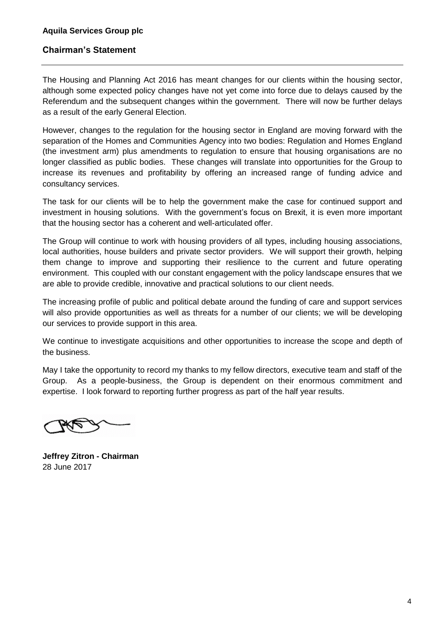## **Chairman's Statement**

The Housing and Planning Act 2016 has meant changes for our clients within the housing sector, although some expected policy changes have not yet come into force due to delays caused by the Referendum and the subsequent changes within the government. There will now be further delays as a result of the early General Election.

However, changes to the regulation for the housing sector in England are moving forward with the separation of the Homes and Communities Agency into two bodies: Regulation and Homes England (the investment arm) plus amendments to regulation to ensure that housing organisations are no longer classified as public bodies. These changes will translate into opportunities for the Group to increase its revenues and profitability by offering an increased range of funding advice and consultancy services.

The task for our clients will be to help the government make the case for continued support and investment in housing solutions. With the government's focus on Brexit, it is even more important that the housing sector has a coherent and well-articulated offer.

The Group will continue to work with housing providers of all types, including housing associations, local authorities, house builders and private sector providers. We will support their growth, helping them change to improve and supporting their resilience to the current and future operating environment. This coupled with our constant engagement with the policy landscape ensures that we are able to provide credible, innovative and practical solutions to our client needs.

The increasing profile of public and political debate around the funding of care and support services will also provide opportunities as well as threats for a number of our clients; we will be developing our services to provide support in this area.

We continue to investigate acquisitions and other opportunities to increase the scope and depth of the business.

May I take the opportunity to record my thanks to my fellow directors, executive team and staff of the Group. As a people-business, the Group is dependent on their enormous commitment and expertise. I look forward to reporting further progress as part of the half year results.

**Jeffrey Zitron - Chairman** 28 June 2017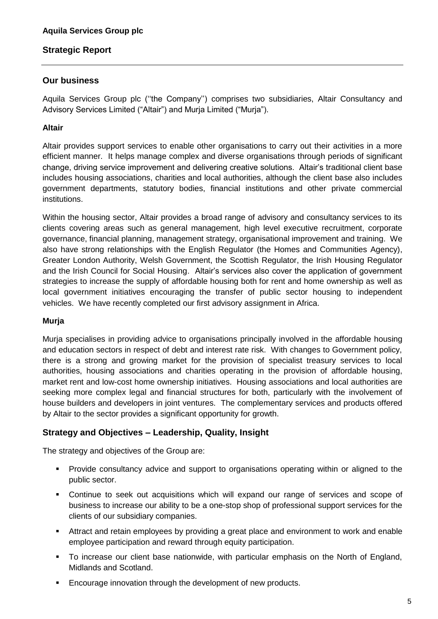## **Our business**

Aquila Services Group plc (''the Company'') comprises two subsidiaries, Altair Consultancy and Advisory Services Limited ("Altair") and Murja Limited ("Murja").

## **Altair**

Altair provides support services to enable other organisations to carry out their activities in a more efficient manner. It helps manage complex and diverse organisations through periods of significant change, driving service improvement and delivering creative solutions. Altair's traditional client base includes housing associations, charities and local authorities, although the client base also includes government departments, statutory bodies, financial institutions and other private commercial institutions.

Within the housing sector, Altair provides a broad range of advisory and consultancy services to its clients covering areas such as general management, high level executive recruitment, corporate governance, financial planning, management strategy, organisational improvement and training. We also have strong relationships with the English Regulator (the Homes and Communities Agency), Greater London Authority, Welsh Government, the Scottish Regulator, the Irish Housing Regulator and the Irish Council for Social Housing. Altair's services also cover the application of government strategies to increase the supply of affordable housing both for rent and home ownership as well as local government initiatives encouraging the transfer of public sector housing to independent vehicles. We have recently completed our first advisory assignment in Africa.

## **Murja**

Murja specialises in providing advice to organisations principally involved in the affordable housing and education sectors in respect of debt and interest rate risk. With changes to Government policy, there is a strong and growing market for the provision of specialist treasury services to local authorities, housing associations and charities operating in the provision of affordable housing, market rent and low-cost home ownership initiatives. Housing associations and local authorities are seeking more complex legal and financial structures for both, particularly with the involvement of house builders and developers in joint ventures. The complementary services and products offered by Altair to the sector provides a significant opportunity for growth.

## **Strategy and Objectives – Leadership, Quality, Insight**

The strategy and objectives of the Group are:

- **•** Provide consultancy advice and support to organisations operating within or aligned to the public sector.
- Continue to seek out acquisitions which will expand our range of services and scope of business to increase our ability to be a one-stop shop of professional support services for the clients of our subsidiary companies.
- Attract and retain employees by providing a great place and environment to work and enable employee participation and reward through equity participation.
- To increase our client base nationwide, with particular emphasis on the North of England, Midlands and Scotland.
- **Encourage innovation through the development of new products.**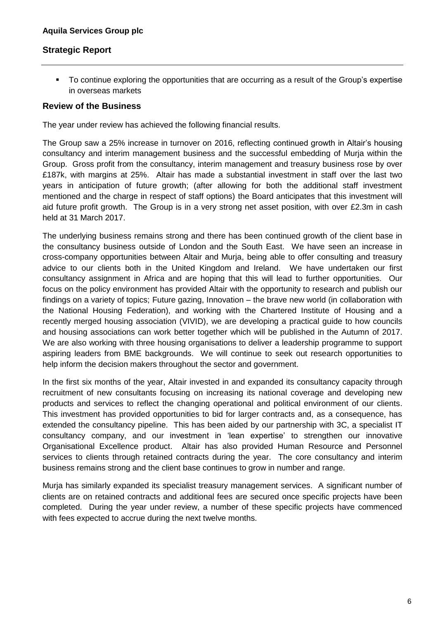To continue exploring the opportunities that are occurring as a result of the Group's expertise in overseas markets

#### **Review of the Business**

The year under review has achieved the following financial results.

The Group saw a 25% increase in turnover on 2016, reflecting continued growth in Altair's housing consultancy and interim management business and the successful embedding of Murja within the Group. Gross profit from the consultancy, interim management and treasury business rose by over £187k, with margins at 25%. Altair has made a substantial investment in staff over the last two years in anticipation of future growth; (after allowing for both the additional staff investment mentioned and the charge in respect of staff options) the Board anticipates that this investment will aid future profit growth. The Group is in a very strong net asset position, with over £2.3m in cash held at 31 March 2017.

The underlying business remains strong and there has been continued growth of the client base in the consultancy business outside of London and the South East. We have seen an increase in cross-company opportunities between Altair and Murja, being able to offer consulting and treasury advice to our clients both in the United Kingdom and Ireland. We have undertaken our first consultancy assignment in Africa and are hoping that this will lead to further opportunities. Our focus on the policy environment has provided Altair with the opportunity to research and publish our findings on a variety of topics; Future gazing, Innovation – the brave new world (in collaboration with the National Housing Federation), and working with the Chartered Institute of Housing and a recently merged housing association (VIVID), we are developing a practical guide to how councils and housing associations can work better together which will be published in the Autumn of 2017. We are also working with three housing organisations to deliver a leadership programme to support aspiring leaders from BME backgrounds. We will continue to seek out research opportunities to help inform the decision makers throughout the sector and government.

In the first six months of the year, Altair invested in and expanded its consultancy capacity through recruitment of new consultants focusing on increasing its national coverage and developing new products and services to reflect the changing operational and political environment of our clients. This investment has provided opportunities to bid for larger contracts and, as a consequence, has extended the consultancy pipeline. This has been aided by our partnership with 3C, a specialist IT consultancy company, and our investment in 'lean expertise' to strengthen our innovative Organisational Excellence product. Altair has also provided Human Resource and Personnel services to clients through retained contracts during the year. The core consultancy and interim business remains strong and the client base continues to grow in number and range.

Murja has similarly expanded its specialist treasury management services. A significant number of clients are on retained contracts and additional fees are secured once specific projects have been completed. During the year under review, a number of these specific projects have commenced with fees expected to accrue during the next twelve months.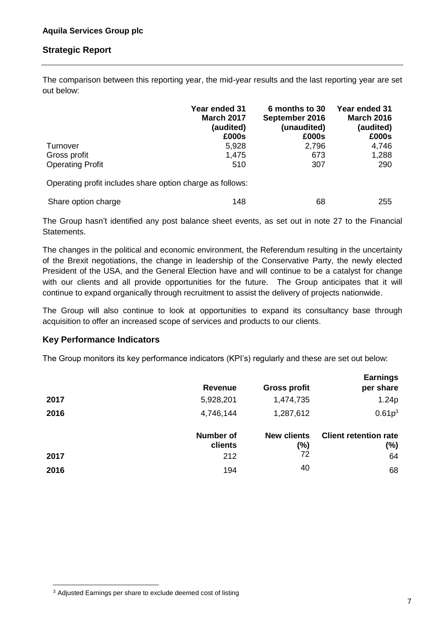The comparison between this reporting year, the mid-year results and the last reporting year are set out below:

|                         | Year ended 31<br><b>March 2017</b><br>(audited)<br>£000s | 6 months to 30<br>September 2016<br>(unaudited)<br>£000s | Year ended 31<br><b>March 2016</b><br>(audited)<br>£000s |
|-------------------------|----------------------------------------------------------|----------------------------------------------------------|----------------------------------------------------------|
| Turnover                | 5,928                                                    | 2,796                                                    | 4,746                                                    |
| Gross profit            | 1,475                                                    | 673                                                      | 1,288                                                    |
| <b>Operating Profit</b> | 510                                                      | 307                                                      | 290                                                      |

Operating profit includes share option charge as follows:

| Share option charge | 148 | 68 | 255 |
|---------------------|-----|----|-----|
|---------------------|-----|----|-----|

The Group hasn't identified any post balance sheet events, as set out in note 27 to the Financial Statements.

The changes in the political and economic environment, the Referendum resulting in the uncertainty of the Brexit negotiations, the change in leadership of the Conservative Party, the newly elected President of the USA, and the General Election have and will continue to be a catalyst for change with our clients and all provide opportunities for the future. The Group anticipates that it will continue to expand organically through recruitment to assist the delivery of projects nationwide.

The Group will also continue to look at opportunities to expand its consultancy base through acquisition to offer an increased scope of services and products to our clients.

#### **Key Performance Indicators**

The Group monitors its key performance indicators (KPI's) regularly and these are set out below:

| <b>Revenue</b><br>5,928,201 | <b>Gross profit</b><br>1,474,735 | <b>Earnings</b><br>per share<br>1.24p        |
|-----------------------------|----------------------------------|----------------------------------------------|
| 4,746,144                   | 1,287,612                        | 0.61p <sup>3</sup>                           |
| <b>Number of</b><br>clients | <b>New clients</b><br>(%)<br>72  | <b>Client retention rate</b><br>$(\%)$<br>64 |
| 194                         | 40                               | 68                                           |
|                             | 212                              |                                              |

1

<sup>&</sup>lt;sup>3</sup> Adjusted Earnings per share to exclude deemed cost of listing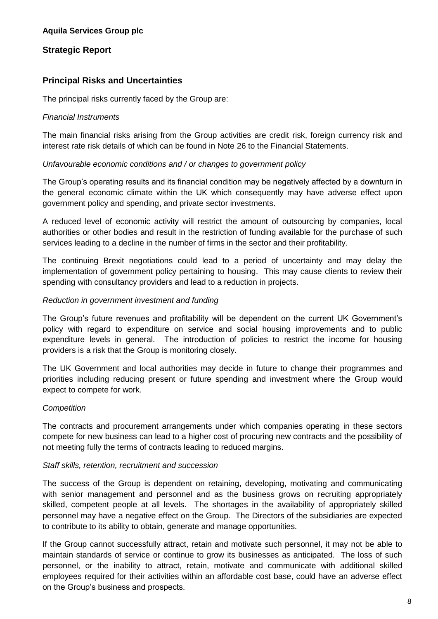## **Principal Risks and Uncertainties**

The principal risks currently faced by the Group are:

#### *Financial Instruments*

The main financial risks arising from the Group activities are credit risk, foreign currency risk and interest rate risk details of which can be found in Note 26 to the Financial Statements.

#### *Unfavourable economic conditions and / or changes to government policy*

The Group's operating results and its financial condition may be negatively affected by a downturn in the general economic climate within the UK which consequently may have adverse effect upon government policy and spending, and private sector investments.

A reduced level of economic activity will restrict the amount of outsourcing by companies, local authorities or other bodies and result in the restriction of funding available for the purchase of such services leading to a decline in the number of firms in the sector and their profitability.

The continuing Brexit negotiations could lead to a period of uncertainty and may delay the implementation of government policy pertaining to housing. This may cause clients to review their spending with consultancy providers and lead to a reduction in projects.

#### *Reduction in government investment and funding*

The Group's future revenues and profitability will be dependent on the current UK Government's policy with regard to expenditure on service and social housing improvements and to public expenditure levels in general. The introduction of policies to restrict the income for housing providers is a risk that the Group is monitoring closely.

The UK Government and local authorities may decide in future to change their programmes and priorities including reducing present or future spending and investment where the Group would expect to compete for work.

## *Competition*

The contracts and procurement arrangements under which companies operating in these sectors compete for new business can lead to a higher cost of procuring new contracts and the possibility of not meeting fully the terms of contracts leading to reduced margins.

#### *Staff skills, retention, recruitment and succession*

The success of the Group is dependent on retaining, developing, motivating and communicating with senior management and personnel and as the business grows on recruiting appropriately skilled, competent people at all levels. The shortages in the availability of appropriately skilled personnel may have a negative effect on the Group. The Directors of the subsidiaries are expected to contribute to its ability to obtain, generate and manage opportunities.

If the Group cannot successfully attract, retain and motivate such personnel, it may not be able to maintain standards of service or continue to grow its businesses as anticipated. The loss of such personnel, or the inability to attract, retain, motivate and communicate with additional skilled employees required for their activities within an affordable cost base, could have an adverse effect on the Group's business and prospects.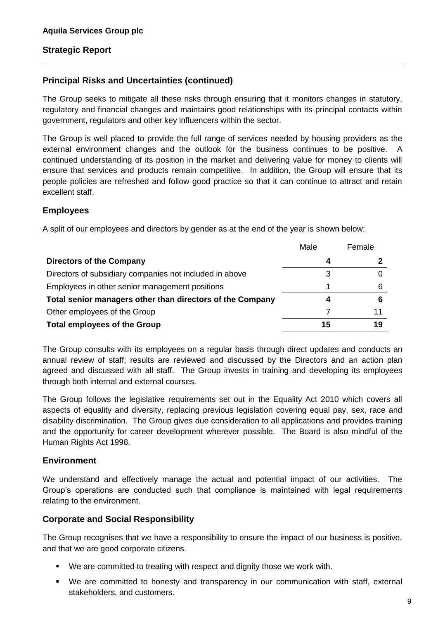## **Principal Risks and Uncertainties (continued)**

The Group seeks to mitigate all these risks through ensuring that it monitors changes in statutory, regulatory and financial changes and maintains good relationships with its principal contacts within government, regulators and other key influencers within the sector.

The Group is well placed to provide the full range of services needed by housing providers as the external environment changes and the outlook for the business continues to be positive. A continued understanding of its position in the market and delivering value for money to clients will ensure that services and products remain competitive. In addition, the Group will ensure that its people policies are refreshed and follow good practice so that it can continue to attract and retain excellent staff.

## **Employees**

A split of our employees and directors by gender as at the end of the year is shown below:

|                                                           | Male | Female |
|-----------------------------------------------------------|------|--------|
| <b>Directors of the Company</b>                           | 4    |        |
| Directors of subsidiary companies not included in above   | 3    |        |
| Employees in other senior management positions            |      | 6      |
| Total senior managers other than directors of the Company | 4    | 6      |
| Other employees of the Group                              |      | 11     |
| <b>Total employees of the Group</b>                       | 15   | 19     |

The Group consults with its employees on a regular basis through direct updates and conducts an annual review of staff; results are reviewed and discussed by the Directors and an action plan agreed and discussed with all staff. The Group invests in training and developing its employees through both internal and external courses.

The Group follows the legislative requirements set out in the Equality Act 2010 which covers all aspects of equality and diversity, replacing previous legislation covering equal pay, sex, race and disability discrimination. The Group gives due consideration to all applications and provides training and the opportunity for career development wherever possible. The Board is also mindful of the Human Rights Act 1998.

## **Environment**

We understand and effectively manage the actual and potential impact of our activities. The Group's operations are conducted such that compliance is maintained with legal requirements relating to the environment.

## **Corporate and Social Responsibility**

The Group recognises that we have a responsibility to ensure the impact of our business is positive, and that we are good corporate citizens.

- We are committed to treating with respect and dignity those we work with.
- We are committed to honesty and transparency in our communication with staff, external stakeholders, and customers.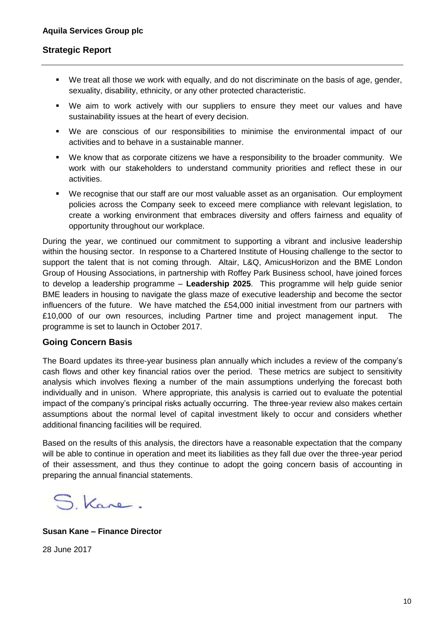- We treat all those we work with equally, and do not discriminate on the basis of age, gender, sexuality, disability, ethnicity, or any other protected characteristic.
- We aim to work actively with our suppliers to ensure they meet our values and have sustainability issues at the heart of every decision.
- We are conscious of our responsibilities to minimise the environmental impact of our activities and to behave in a sustainable manner.
- We know that as corporate citizens we have a responsibility to the broader community. We work with our stakeholders to understand community priorities and reflect these in our activities.
- We recognise that our staff are our most valuable asset as an organisation. Our employment policies across the Company seek to exceed mere compliance with relevant legislation, to create a working environment that embraces diversity and offers fairness and equality of opportunity throughout our workplace.

During the year, we continued our commitment to supporting a vibrant and inclusive leadership within the housing sector. In response to a Chartered Institute of Housing challenge to the sector to support the talent that is not coming through. Altair, L&Q, AmicusHorizon and the BME London Group of Housing Associations, in partnership with Roffey Park Business school, have joined forces to develop a leadership programme – **Leadership 2025**. This programme will help guide senior BME leaders in housing to navigate the glass maze of executive leadership and become the sector influencers of the future. We have matched the £54,000 initial investment from our partners with £10,000 of our own resources, including Partner time and project management input. The programme is set to launch in October 2017.

#### **Going Concern Basis**

The Board updates its three-year business plan annually which includes a review of the company's cash flows and other key financial ratios over the period. These metrics are subject to sensitivity analysis which involves flexing a number of the main assumptions underlying the forecast both individually and in unison. Where appropriate, this analysis is carried out to evaluate the potential impact of the company's principal risks actually occurring. The three-year review also makes certain assumptions about the normal level of capital investment likely to occur and considers whether additional financing facilities will be required.

Based on the results of this analysis, the directors have a reasonable expectation that the company will be able to continue in operation and meet its liabilities as they fall due over the three-year period of their assessment, and thus they continue to adopt the going concern basis of accounting in preparing the annual financial statements.

S. Kane.

**Susan Kane – Finance Director**

28 June 2017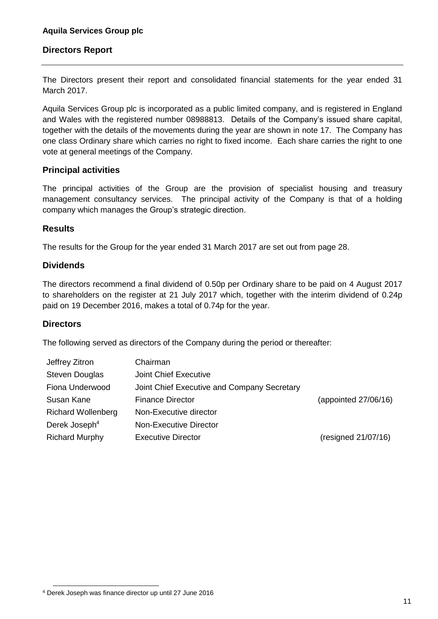The Directors present their report and consolidated financial statements for the year ended 31 March 2017.

Aquila Services Group plc is incorporated as a public limited company, and is registered in England and Wales with the registered number 08988813. Details of the Company's issued share capital, together with the details of the movements during the year are shown in note 17. The Company has one class Ordinary share which carries no right to fixed income. Each share carries the right to one vote at general meetings of the Company.

## **Principal activities**

The principal activities of the Group are the provision of specialist housing and treasury management consultancy services. The principal activity of the Company is that of a holding company which manages the Group's strategic direction.

#### **Results**

The results for the Group for the year ended 31 March 2017 are set out from page 28.

#### **Dividends**

The directors recommend a final dividend of 0.50p per Ordinary share to be paid on 4 August 2017 to shareholders on the register at 21 July 2017 which, together with the interim dividend of 0.24p paid on 19 December 2016, makes a total of 0.74p for the year.

## **Directors**

1

The following served as directors of the Company during the period or thereafter:

| Jeffrey Zitron            | Chairman                                    |                      |
|---------------------------|---------------------------------------------|----------------------|
| <b>Steven Douglas</b>     | Joint Chief Executive                       |                      |
| Fiona Underwood           | Joint Chief Executive and Company Secretary |                      |
| Susan Kane                | <b>Finance Director</b>                     | (appointed 27/06/16) |
| <b>Richard Wollenberg</b> | Non-Executive director                      |                      |
| Derek Joseph <sup>4</sup> | <b>Non-Executive Director</b>               |                      |
| <b>Richard Murphy</b>     | <b>Executive Director</b>                   | (resigned 21/07/16)  |

<sup>4</sup> Derek Joseph was finance director up until 27 June 2016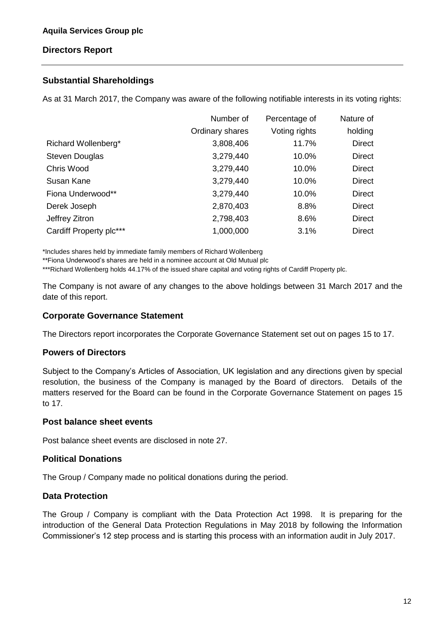## **Substantial Shareholdings**

As at 31 March 2017, the Company was aware of the following notifiable interests in its voting rights:

|                         | Number of       | Percentage of | Nature of     |
|-------------------------|-----------------|---------------|---------------|
|                         | Ordinary shares | Voting rights | holding       |
| Richard Wollenberg*     | 3,808,406       | 11.7%         | <b>Direct</b> |
| <b>Steven Douglas</b>   | 3,279,440       | 10.0%         | <b>Direct</b> |
| Chris Wood              | 3,279,440       | 10.0%         | <b>Direct</b> |
| Susan Kane              | 3,279,440       | 10.0%         | <b>Direct</b> |
| Fiona Underwood**       | 3,279,440       | 10.0%         | <b>Direct</b> |
| Derek Joseph            | 2,870,403       | 8.8%          | <b>Direct</b> |
| Jeffrey Zitron          | 2,798,403       | 8.6%          | <b>Direct</b> |
| Cardiff Property plc*** | 1,000,000       | 3.1%          | <b>Direct</b> |

\*Includes shares held by immediate family members of Richard Wollenberg

\*\*Fiona Underwood's shares are held in a nominee account at Old Mutual plc

\*\*\*Richard Wollenberg holds 44.17% of the issued share capital and voting rights of Cardiff Property plc.

The Company is not aware of any changes to the above holdings between 31 March 2017 and the date of this report.

## **Corporate Governance Statement**

The Directors report incorporates the Corporate Governance Statement set out on pages 15 to 17.

## **Powers of Directors**

Subject to the Company's Articles of Association, UK legislation and any directions given by special resolution, the business of the Company is managed by the Board of directors. Details of the matters reserved for the Board can be found in the Corporate Governance Statement on pages 15 to 17.

#### **Post balance sheet events**

Post balance sheet events are disclosed in note 27.

## **Political Donations**

The Group / Company made no political donations during the period.

## **Data Protection**

The Group / Company is compliant with the Data Protection Act 1998. It is preparing for the introduction of the General Data Protection Regulations in May 2018 by following the Information Commissioner's 12 step process and is starting this process with an information audit in July 2017.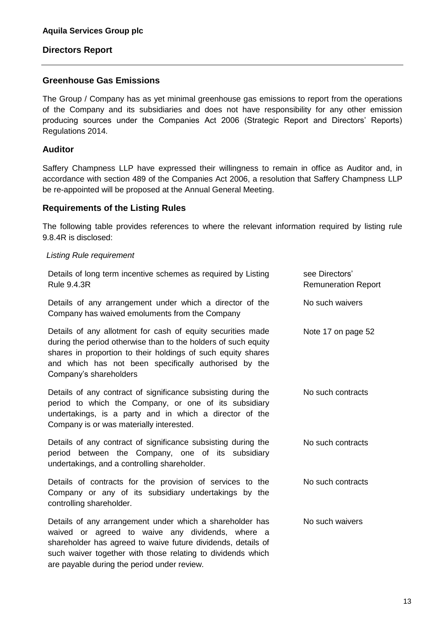#### **Greenhouse Gas Emissions**

The Group / Company has as yet minimal greenhouse gas emissions to report from the operations of the Company and its subsidiaries and does not have responsibility for any other emission producing sources under the Companies Act 2006 (Strategic Report and Directors' Reports) Regulations 2014.

## **Auditor**

Saffery Champness LLP have expressed their willingness to remain in office as Auditor and, in accordance with section 489 of the Companies Act 2006, a resolution that Saffery Champness LLP be re-appointed will be proposed at the Annual General Meeting.

#### **Requirements of the Listing Rules**

are payable during the period under review.

The following table provides references to where the relevant information required by listing rule 9.8.4R is disclosed:

#### *Listing Rule requirement*

| Details of long term incentive schemes as required by Listing<br><b>Rule 9.4.3R</b>                                                                                                                                                                                              | see Directors'<br><b>Remuneration Report</b> |
|----------------------------------------------------------------------------------------------------------------------------------------------------------------------------------------------------------------------------------------------------------------------------------|----------------------------------------------|
| Details of any arrangement under which a director of the<br>Company has waived emoluments from the Company                                                                                                                                                                       | No such waivers                              |
| Details of any allotment for cash of equity securities made<br>during the period otherwise than to the holders of such equity<br>shares in proportion to their holdings of such equity shares<br>and which has not been specifically authorised by the<br>Company's shareholders | Note 17 on page 52                           |
| Details of any contract of significance subsisting during the<br>period to which the Company, or one of its subsidiary<br>undertakings, is a party and in which a director of the<br>Company is or was materially interested.                                                    | No such contracts                            |
| Details of any contract of significance subsisting during the<br>period between the Company, one of its subsidiary<br>undertakings, and a controlling shareholder.                                                                                                               | No such contracts                            |
| Details of contracts for the provision of services to the<br>Company or any of its subsidiary undertakings by the<br>controlling shareholder.                                                                                                                                    | No such contracts                            |
| Details of any arrangement under which a shareholder has<br>waived or agreed to waive any dividends, where a<br>shareholder has agreed to waive future dividends, details of<br>such waiver together with those relating to dividends which                                      | No such waivers                              |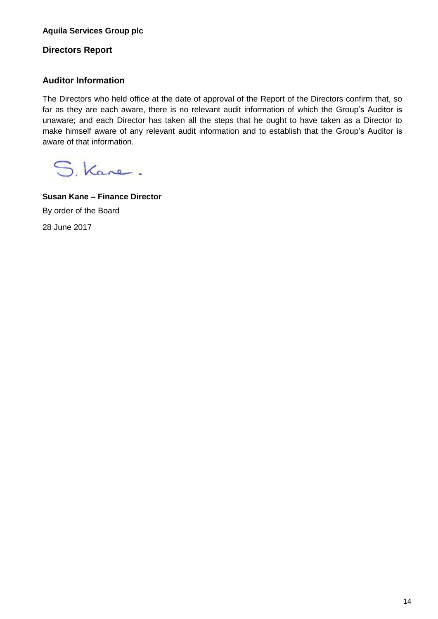## **Auditor Information**

The Directors who held office at the date of approval of the Report of the Directors confirm that, so far as they are each aware, there is no relevant audit information of which the Group's Auditor is unaware; and each Director has taken all the steps that he ought to have taken as a Director to make himself aware of any relevant audit information and to establish that the Group's Auditor is aware of that information.

S. Kane.

**Susan Kane – Finance Director** By order of the Board 28 June 2017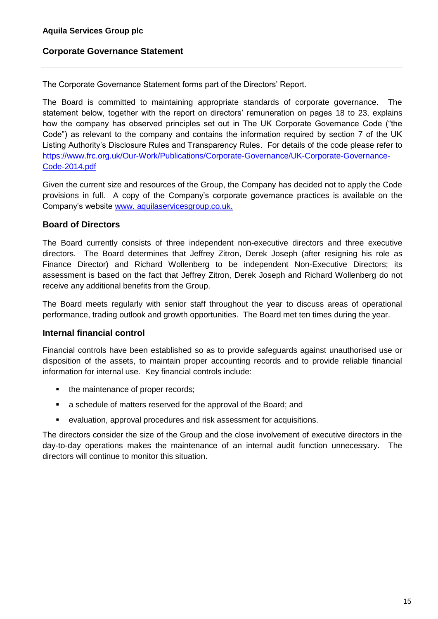## **Corporate Governance Statement**

The Corporate Governance Statement forms part of the Directors' Report.

The Board is committed to maintaining appropriate standards of corporate governance. The statement below, together with the report on directors' remuneration on pages 18 to 23, explains how the company has observed principles set out in The UK Corporate Governance Code ("the Code") as relevant to the company and contains the information required by section 7 of the UK Listing Authority's Disclosure Rules and Transparency Rules. For details of the code please refer to [https://www.frc.org.uk/Our-Work/Publications/Corporate-Governance/UK-Corporate-Governance-](https://www.frc.org.uk/Our-Work/Publications/Corporate-Governance/UK-Corporate-Governance-Code-2014.pdf)[Code-2014.pdf](https://www.frc.org.uk/Our-Work/Publications/Corporate-Governance/UK-Corporate-Governance-Code-2014.pdf)

Given the current size and resources of the Group, the Company has decided not to apply the Code provisions in full. A copy of the Company's corporate governance practices is available on the Company's website www. [aquilaservicesgroup.co.uk.](http://www.aquilaservicesgroup.co.uk/)

## **Board of Directors**

The Board currently consists of three independent non-executive directors and three executive directors. The Board determines that Jeffrey Zitron, Derek Joseph (after resigning his role as Finance Director) and Richard Wollenberg to be independent Non-Executive Directors; its assessment is based on the fact that Jeffrey Zitron, Derek Joseph and Richard Wollenberg do not receive any additional benefits from the Group.

The Board meets regularly with senior staff throughout the year to discuss areas of operational performance, trading outlook and growth opportunities. The Board met ten times during the year.

## **Internal financial control**

Financial controls have been established so as to provide safeguards against unauthorised use or disposition of the assets, to maintain proper accounting records and to provide reliable financial information for internal use. Key financial controls include:

- the maintenance of proper records;
- a schedule of matters reserved for the approval of the Board; and
- evaluation, approval procedures and risk assessment for acquisitions.

The directors consider the size of the Group and the close involvement of executive directors in the day-to-day operations makes the maintenance of an internal audit function unnecessary. The directors will continue to monitor this situation.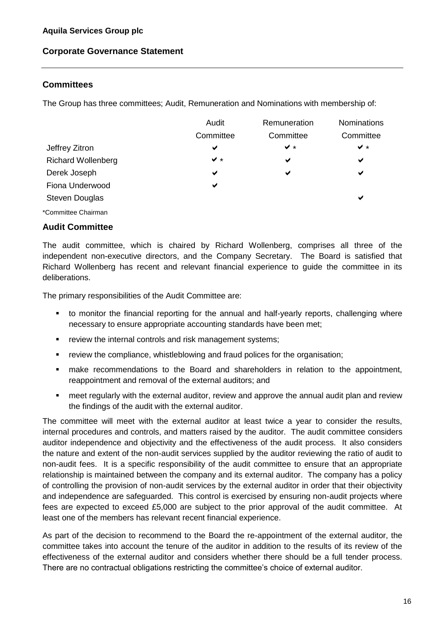## **Corporate Governance Statement**

## **Committees**

The Group has three committees; Audit, Remuneration and Nominations with membership of:

|                           | Audit     | Remuneration | Nominations |
|---------------------------|-----------|--------------|-------------|
|                           | Committee | Committee    | Committee   |
| Jeffrey Zitron            | ✔         | $\vee$ *     | $\vee$ *    |
| <b>Richard Wollenberg</b> | $\vee$ *  | ✔            | ✔           |
| Derek Joseph              | ✔         | ✔            | ✔           |
| Fiona Underwood           | ✔         |              |             |
| <b>Steven Douglas</b>     |           |              | ✔           |
| *Committee Chairman       |           |              |             |

#### **Audit Committee**

The audit committee, which is chaired by Richard Wollenberg, comprises all three of the independent non-executive directors, and the Company Secretary. The Board is satisfied that Richard Wollenberg has recent and relevant financial experience to guide the committee in its deliberations.

The primary responsibilities of the Audit Committee are:

- to monitor the financial reporting for the annual and half-yearly reports, challenging where necessary to ensure appropriate accounting standards have been met;
- **•** review the internal controls and risk management systems;
- review the compliance, whistleblowing and fraud polices for the organisation;
- make recommendations to the Board and shareholders in relation to the appointment, reappointment and removal of the external auditors; and
- meet regularly with the external auditor, review and approve the annual audit plan and review the findings of the audit with the external auditor.

The committee will meet with the external auditor at least twice a year to consider the results, internal procedures and controls, and matters raised by the auditor. The audit committee considers auditor independence and objectivity and the effectiveness of the audit process. It also considers the nature and extent of the non-audit services supplied by the auditor reviewing the ratio of audit to non-audit fees. It is a specific responsibility of the audit committee to ensure that an appropriate relationship is maintained between the company and its external auditor. The company has a policy of controlling the provision of non-audit services by the external auditor in order that their objectivity and independence are safeguarded. This control is exercised by ensuring non-audit projects where fees are expected to exceed £5,000 are subject to the prior approval of the audit committee. At least one of the members has relevant recent financial experience.

As part of the decision to recommend to the Board the re-appointment of the external auditor, the committee takes into account the tenure of the auditor in addition to the results of its review of the effectiveness of the external auditor and considers whether there should be a full tender process. There are no contractual obligations restricting the committee's choice of external auditor.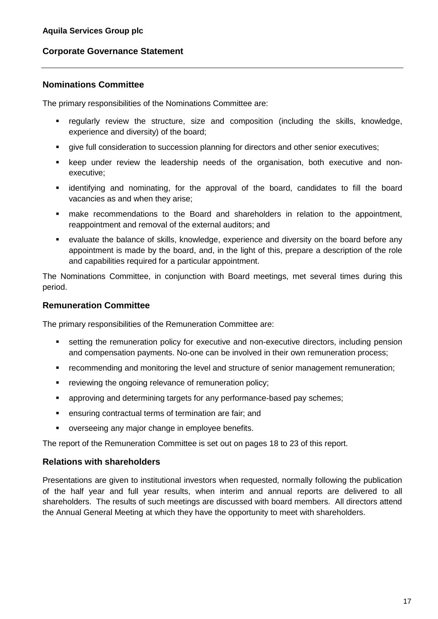## **Corporate Governance Statement**

## **Nominations Committee**

The primary responsibilities of the Nominations Committee are:

- regularly review the structure, size and composition (including the skills, knowledge, experience and diversity) of the board;
- **•** give full consideration to succession planning for directors and other senior executives;
- keep under review the leadership needs of the organisation, both executive and nonexecutive;
- identifying and nominating, for the approval of the board, candidates to fill the board vacancies as and when they arise;
- make recommendations to the Board and shareholders in relation to the appointment, reappointment and removal of the external auditors; and
- evaluate the balance of skills, knowledge, experience and diversity on the board before any appointment is made by the board, and, in the light of this, prepare a description of the role and capabilities required for a particular appointment.

The Nominations Committee, in conjunction with Board meetings, met several times during this period.

#### **Remuneration Committee**

The primary responsibilities of the Remuneration Committee are:

- setting the remuneration policy for executive and non-executive directors, including pension and compensation payments. No-one can be involved in their own remuneration process;
- recommending and monitoring the level and structure of senior management remuneration;
- **•** reviewing the ongoing relevance of remuneration policy;
- **•** approving and determining targets for any performance-based pay schemes;
- ensuring contractual terms of termination are fair; and
- overseeing any major change in employee benefits.

The report of the Remuneration Committee is set out on pages 18 to 23 of this report.

## **Relations with shareholders**

Presentations are given to institutional investors when requested, normally following the publication of the half year and full year results, when interim and annual reports are delivered to all shareholders. The results of such meetings are discussed with board members. All directors attend the Annual General Meeting at which they have the opportunity to meet with shareholders.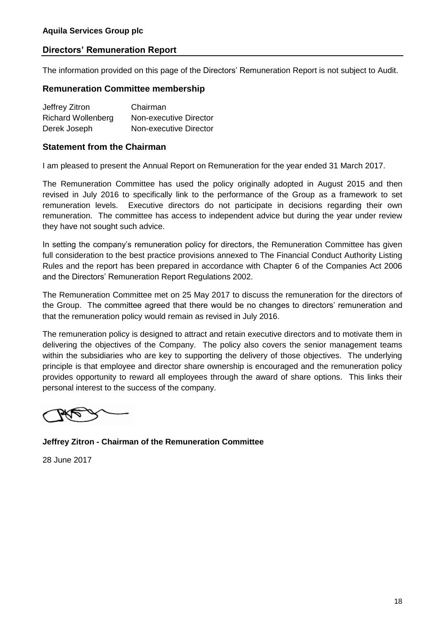The information provided on this page of the Directors' Remuneration Report is not subject to Audit.

#### **Remuneration Committee membership**

| Jeffrey Zitron            | Chairman               |
|---------------------------|------------------------|
| <b>Richard Wollenberg</b> | Non-executive Director |
| Derek Joseph              | Non-executive Director |

#### **Statement from the Chairman**

I am pleased to present the Annual Report on Remuneration for the year ended 31 March 2017.

The Remuneration Committee has used the policy originally adopted in August 2015 and then revised in July 2016 to specifically link to the performance of the Group as a framework to set remuneration levels. Executive directors do not participate in decisions regarding their own remuneration. The committee has access to independent advice but during the year under review they have not sought such advice.

In setting the company's remuneration policy for directors, the Remuneration Committee has given full consideration to the best practice provisions annexed to The Financial Conduct Authority Listing Rules and the report has been prepared in accordance with Chapter 6 of the Companies Act 2006 and the Directors' Remuneration Report Regulations 2002.

The Remuneration Committee met on 25 May 2017 to discuss the remuneration for the directors of the Group. The committee agreed that there would be no changes to directors' remuneration and that the remuneration policy would remain as revised in July 2016.

The remuneration policy is designed to attract and retain executive directors and to motivate them in delivering the objectives of the Company. The policy also covers the senior management teams within the subsidiaries who are key to supporting the delivery of those objectives. The underlying principle is that employee and director share ownership is encouraged and the remuneration policy provides opportunity to reward all employees through the award of share options. This links their personal interest to the success of the company.

**Jeffrey Zitron - Chairman of the Remuneration Committee**

28 June 2017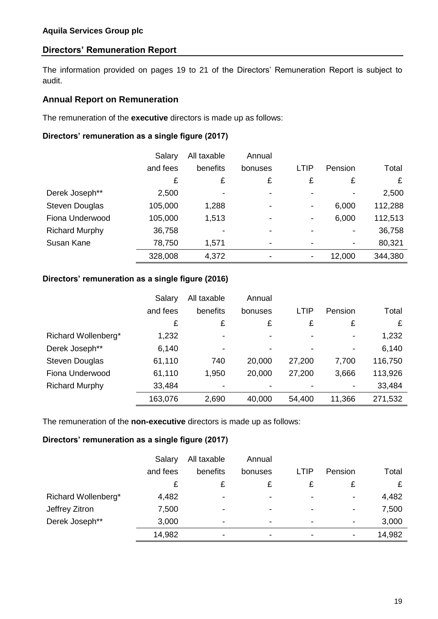The information provided on pages 19 to 21 of the Directors' Remuneration Report is subject to audit.

#### **Annual Report on Remuneration**

The remuneration of the **executive** directors is made up as follows:

#### **Directors' remuneration as a single figure (2017)**

|                       | Salary   | All taxable | Annual                   |                          |         |         |
|-----------------------|----------|-------------|--------------------------|--------------------------|---------|---------|
|                       | and fees | benefits    | bonuses                  | LTIP                     | Pension | Total   |
|                       | £        | £           | £                        | £                        | £       | £       |
| Derek Joseph**        | 2,500    |             | $\blacksquare$           | -                        |         | 2,500   |
| <b>Steven Douglas</b> | 105,000  | 1,288       | $\overline{\phantom{a}}$ | $\overline{\phantom{a}}$ | 6,000   | 112,288 |
| Fiona Underwood       | 105,000  | 1,513       | $\overline{\phantom{0}}$ | -                        | 6,000   | 112,513 |
| <b>Richard Murphy</b> | 36,758   |             | $\overline{\phantom{0}}$ |                          |         | 36,758  |
| Susan Kane            | 78,750   | 1,571       | $\overline{\phantom{a}}$ |                          |         | 80,321  |
|                       | 328,008  | 4,372       |                          |                          | 12,000  | 344,380 |

#### **Directors' remuneration as a single figure (2016)**

|                       | Salary   | All taxable              | Annual                   |        |         |         |
|-----------------------|----------|--------------------------|--------------------------|--------|---------|---------|
|                       | and fees | benefits                 | bonuses                  | LTIP   | Pension | Total   |
|                       | £        | £                        | £                        | £      | £       | £       |
| Richard Wollenberg*   | 1,232    | $\overline{\phantom{0}}$ | $\blacksquare$           | -      |         | 1,232   |
| Derek Joseph**        | 6,140    | $\overline{\phantom{0}}$ | $\overline{\phantom{0}}$ | -      | -       | 6,140   |
| <b>Steven Douglas</b> | 61,110   | 740                      | 20,000                   | 27,200 | 7,700   | 116,750 |
| Fiona Underwood       | 61,110   | 1,950                    | 20,000                   | 27,200 | 3,666   | 113,926 |
| <b>Richard Murphy</b> | 33,484   |                          |                          |        |         | 33,484  |
|                       | 163,076  | 2,690                    | 40,000                   | 54,400 | 11,366  | 271,532 |

The remuneration of the **non-executive** directors is made up as follows:

#### **Directors' remuneration as a single figure (2017)**

|                     | Salary   | All taxable | Annual                   |                          |                          |        |
|---------------------|----------|-------------|--------------------------|--------------------------|--------------------------|--------|
|                     | and fees | benefits    | bonuses                  | <b>LTIP</b>              | Pension                  | Total  |
|                     | £        |             | £                        |                          | £                        |        |
| Richard Wollenberg* | 4,482    | -           | $\overline{\phantom{a}}$ | $\overline{\phantom{0}}$ | $\overline{\phantom{a}}$ | 4,482  |
| Jeffrey Zitron      | 7,500    | -           | $\overline{\phantom{a}}$ | $\overline{\phantom{a}}$ | $\overline{\phantom{a}}$ | 7,500  |
| Derek Joseph**      | 3,000    | -           | ۰                        | $\overline{\phantom{a}}$ | $\overline{\phantom{a}}$ | 3,000  |
|                     | 14,982   | -           | $\,$                     | $\,$                     |                          | 14,982 |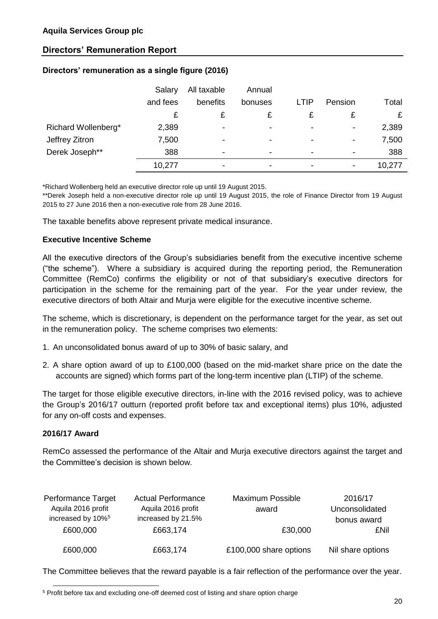| Directors' remuneration as a single figure (2016) |  |  |  |  |
|---------------------------------------------------|--|--|--|--|
|---------------------------------------------------|--|--|--|--|

|                     | Salary   | All taxable | Annual                   |                          |                          |        |
|---------------------|----------|-------------|--------------------------|--------------------------|--------------------------|--------|
|                     | and fees | benefits    | bonuses                  | <b>LTIP</b>              | Pension                  | Total  |
|                     |          |             |                          |                          |                          |        |
| Richard Wollenberg* | 2,389    | ٠           | $\overline{\phantom{a}}$ | ٠                        | $\overline{\phantom{a}}$ | 2,389  |
| Jeffrey Zitron      | 7,500    | -           | $\overline{\phantom{a}}$ | $\overline{\phantom{a}}$ | $\overline{\phantom{a}}$ | 7,500  |
| Derek Joseph**      | 388      | ٠           | $\overline{\phantom{a}}$ | $\,$                     |                          | 388    |
|                     | 10,277   | ۰           | ۰                        | $\,$                     | $\overline{\phantom{0}}$ | 10,277 |

\*Richard Wollenberg held an executive director role up until 19 August 2015.

\*\*Derek Joseph held a non-executive director role up until 19 August 2015, the role of Finance Director from 19 August 2015 to 27 June 2016 then a non-executive role from 28 June 2016.

The taxable benefits above represent private medical insurance.

#### **Executive Incentive Scheme**

All the executive directors of the Group's subsidiaries benefit from the executive incentive scheme ("the scheme"). Where a subsidiary is acquired during the reporting period, the Remuneration Committee (RemCo) confirms the eligibility or not of that subsidiary's executive directors for participation in the scheme for the remaining part of the year. For the year under review, the executive directors of both Altair and Murja were eligible for the executive incentive scheme.

The scheme, which is discretionary, is dependent on the performance target for the year, as set out in the remuneration policy. The scheme comprises two elements:

- 1. An unconsolidated bonus award of up to 30% of basic salary, and
- 2. A share option award of up to £100,000 (based on the mid-market share price on the date the accounts are signed) which forms part of the long-term incentive plan (LTIP) of the scheme.

The target for those eligible executive directors, in-line with the 2016 revised policy, was to achieve the Group's 2016/17 outturn (reported profit before tax and exceptional items) plus 10%, adjusted for any on-off costs and expenses.

#### **2016/17 Award**

1

RemCo assessed the performance of the Altair and Murja executive directors against the target and the Committee's decision is shown below.

| Performance Target            | <b>Actual Performance</b> | <b>Maximum Possible</b> | 2016/17           |
|-------------------------------|---------------------------|-------------------------|-------------------|
| Aquila 2016 profit            | Aquila 2016 profit        | award                   | Unconsolidated    |
| increased by 10% <sup>5</sup> | increased by 21.5%        |                         | bonus award       |
| £600,000                      | £663,174                  | £30,000                 | £Nil              |
|                               |                           |                         |                   |
| £600,000                      | £663,174                  | £100,000 share options  | Nil share options |

The Committee believes that the reward payable is a fair reflection of the performance over the year.

<sup>&</sup>lt;sup>5</sup> Profit before tax and excluding one-off deemed cost of listing and share option charge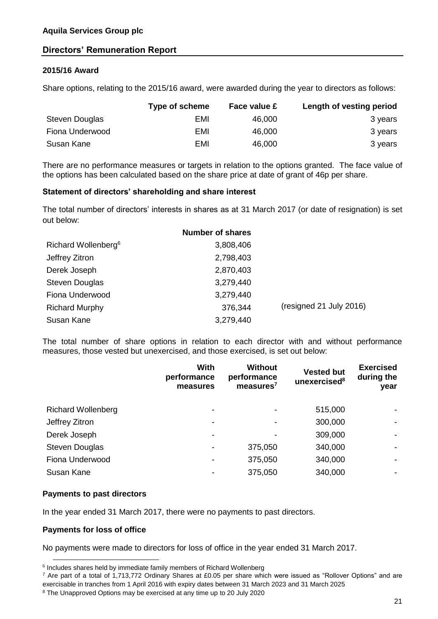#### **2015/16 Award**

Share options, relating to the 2015/16 award, were awarded during the year to directors as follows:

|                 | Type of scheme | Face value £ | Length of vesting period |
|-----------------|----------------|--------------|--------------------------|
| Steven Douglas  | EMI            | 46,000       | 3 years                  |
| Fiona Underwood | EMI            | 46,000       | 3 years                  |
| Susan Kane      | EMI            | 46,000       | 3 years                  |

There are no performance measures or targets in relation to the options granted. The face value of the options has been calculated based on the share price at date of grant of 46p per share.

#### **Statement of directors' shareholding and share interest**

The total number of directors' interests in shares as at 31 March 2017 (or date of resignation) is set out below:

|                                 | <b>Number of shares</b> |                         |
|---------------------------------|-------------------------|-------------------------|
| Richard Wollenberg <sup>6</sup> | 3,808,406               |                         |
| Jeffrey Zitron                  | 2,798,403               |                         |
| Derek Joseph                    | 2,870,403               |                         |
| <b>Steven Douglas</b>           | 3,279,440               |                         |
| Fiona Underwood                 | 3,279,440               |                         |
| <b>Richard Murphy</b>           | 376,344                 | (resigned 21 July 2016) |
| Susan Kane                      | 3,279,440               |                         |

The total number of share options in relation to each director with and without performance measures, those vested but unexercised, and those exercised, is set out below:

|                           | With<br>performance<br>measures | <b>Without</b><br>performance<br>measures <sup>7</sup> | <b>Vested but</b><br>unexercised <sup>8</sup> | <b>Exercised</b><br>during the<br>year |
|---------------------------|---------------------------------|--------------------------------------------------------|-----------------------------------------------|----------------------------------------|
| <b>Richard Wollenberg</b> |                                 |                                                        | 515,000                                       |                                        |
| Jeffrey Zitron            | ۰                               |                                                        | 300,000                                       |                                        |
| Derek Joseph              | ۰                               |                                                        | 309,000                                       |                                        |
| <b>Steven Douglas</b>     | ۰                               | 375,050                                                | 340,000                                       |                                        |
| Fiona Underwood           | ٠                               | 375,050                                                | 340,000                                       |                                        |
| Susan Kane                |                                 | 375,050                                                | 340,000                                       |                                        |
|                           |                                 |                                                        |                                               |                                        |

#### **Payments to past directors**

In the year ended 31 March 2017, there were no payments to past directors.

#### **Payments for loss of office**

-

No payments were made to directors for loss of office in the year ended 31 March 2017.

 $6$  Includes shares held by immediate family members of Richard Wollenberg

 $7$  Are part of a total of 1,713,772 Ordinary Shares at £0.05 per share which were issued as "Rollover Options" and are exercisable in tranches from 1 April 2016 with expiry dates between 31 March 2023 and 31 March 2025

<sup>8</sup> The Unapproved Options may be exercised at any time up to 20 July 2020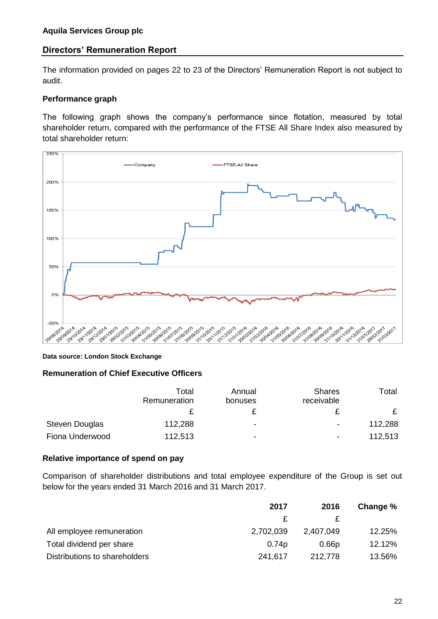The information provided on pages 22 to 23 of the Directors' Remuneration Report is not subject to audit.

#### **Performance graph**

The following graph shows the company's performance since flotation, measured by total shareholder return, compared with the performance of the FTSE All Share Index also measured by total shareholder return:



#### **Data source: London Stock Exchange**

#### **Remuneration of Chief Executive Officers**

|                       | Total<br>Remuneration | Annual<br>bonuses | <b>Shares</b><br>receivable | Total   |
|-----------------------|-----------------------|-------------------|-----------------------------|---------|
|                       |                       | £                 |                             |         |
| <b>Steven Douglas</b> | 112,288               | ۰                 | $\overline{\phantom{a}}$    | 112,288 |
| Fiona Underwood       | 112,513               | ۰                 | $\blacksquare$              | 112,513 |

#### **Relative importance of spend on pay**

Comparison of shareholder distributions and total employee expenditure of the Group is set out below for the years ended 31 March 2016 and 31 March 2017.

|                               | 2017      | 2016      | Change % |
|-------------------------------|-----------|-----------|----------|
|                               |           |           |          |
| All employee remuneration     | 2,702,039 | 2,407,049 | 12.25%   |
| Total dividend per share      | 0.74p     | 0.66p     | 12.12%   |
| Distributions to shareholders | 241,617   | 212,778   | 13.56%   |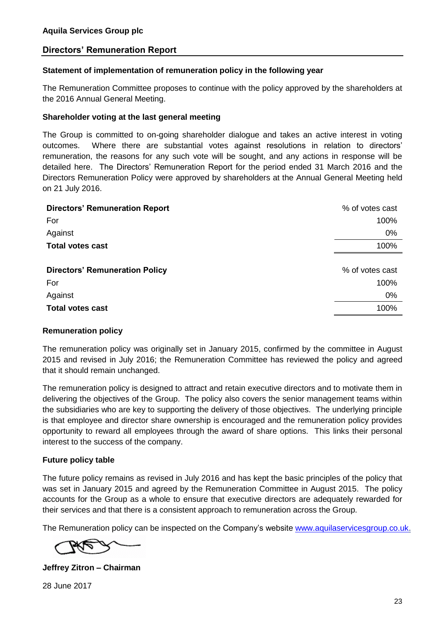#### **Statement of implementation of remuneration policy in the following year**

The Remuneration Committee proposes to continue with the policy approved by the shareholders at the 2016 Annual General Meeting.

#### **Shareholder voting at the last general meeting**

The Group is committed to on-going shareholder dialogue and takes an active interest in voting outcomes. Where there are substantial votes against resolutions in relation to directors' remuneration, the reasons for any such vote will be sought, and any actions in response will be detailed here. The Directors' Remuneration Report for the period ended 31 March 2016 and the Directors Remuneration Policy were approved by shareholders at the Annual General Meeting held on 21 July 2016.

| <b>Directors' Remuneration Report</b> | % of votes cast |
|---------------------------------------|-----------------|
| For                                   | 100%            |
| Against                               | 0%              |
| <b>Total votes cast</b>               | 100%            |
|                                       |                 |
| <b>Directors' Remuneration Policy</b> | % of votes cast |
| For                                   | 100%            |
| Against                               | $0\%$           |
| <b>Total votes cast</b>               | 100%            |
|                                       |                 |

#### **Remuneration policy**

The remuneration policy was originally set in January 2015, confirmed by the committee in August 2015 and revised in July 2016; the Remuneration Committee has reviewed the policy and agreed that it should remain unchanged.

The remuneration policy is designed to attract and retain executive directors and to motivate them in delivering the objectives of the Group. The policy also covers the senior management teams within the subsidiaries who are key to supporting the delivery of those objectives. The underlying principle is that employee and director share ownership is encouraged and the remuneration policy provides opportunity to reward all employees through the award of share options. This links their personal interest to the success of the company.

#### **Future policy table**

The future policy remains as revised in July 2016 and has kept the basic principles of the policy that was set in January 2015 and agreed by the Remuneration Committee in August 2015. The policy accounts for the Group as a whole to ensure that executive directors are adequately rewarded for their services and that there is a consistent approach to remuneration across the Group.

The Remuneration policy can be inspected on the Company's website [www.aquilaservicesgroup.co.uk.](http://www.aquilaservicesgroup.co.uk/)

**Jeffrey Zitron – Chairman**

28 June 2017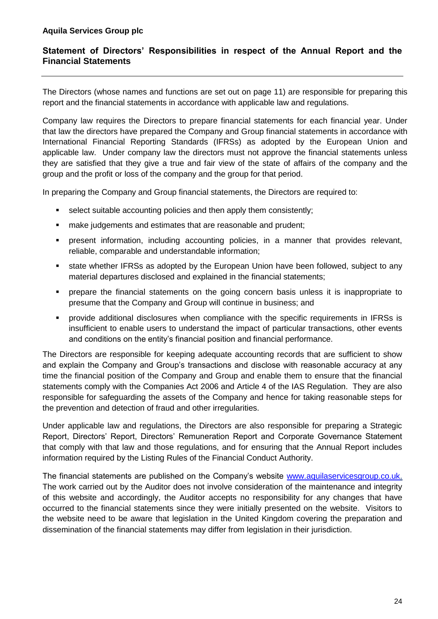## **Statement of Directors' Responsibilities in respect of the Annual Report and the Financial Statements**

The Directors (whose names and functions are set out on page 11) are responsible for preparing this report and the financial statements in accordance with applicable law and regulations.

Company law requires the Directors to prepare financial statements for each financial year. Under that law the directors have prepared the Company and Group financial statements in accordance with International Financial Reporting Standards (IFRSs) as adopted by the European Union and applicable law. Under company law the directors must not approve the financial statements unless they are satisfied that they give a true and fair view of the state of affairs of the company and the group and the profit or loss of the company and the group for that period.

In preparing the Company and Group financial statements, the Directors are required to:

- select suitable accounting policies and then apply them consistently;
- make judgements and estimates that are reasonable and prudent;
- present information, including accounting policies, in a manner that provides relevant, reliable, comparable and understandable information;
- state whether IFRSs as adopted by the European Union have been followed, subject to any material departures disclosed and explained in the financial statements;
- **•** prepare the financial statements on the going concern basis unless it is inappropriate to presume that the Company and Group will continue in business; and
- provide additional disclosures when compliance with the specific requirements in IFRSs is insufficient to enable users to understand the impact of particular transactions, other events and conditions on the entity's financial position and financial performance.

The Directors are responsible for keeping adequate accounting records that are sufficient to show and explain the Company and Group's transactions and disclose with reasonable accuracy at any time the financial position of the Company and Group and enable them to ensure that the financial statements comply with the Companies Act 2006 and Article 4 of the IAS Regulation. They are also responsible for safeguarding the assets of the Company and hence for taking reasonable steps for the prevention and detection of fraud and other irregularities.

Under applicable law and regulations, the Directors are also responsible for preparing a Strategic Report, Directors' Report, Directors' Remuneration Report and Corporate Governance Statement that comply with that law and those regulations, and for ensuring that the Annual Report includes information required by the Listing Rules of the Financial Conduct Authority.

The financial statements are published on the Company's website [www.aquilaservicesgroup.co.uk.](http://www.aquilaservicesgroup.co.uk/) The work carried out by the Auditor does not involve consideration of the maintenance and integrity of this website and accordingly, the Auditor accepts no responsibility for any changes that have occurred to the financial statements since they were initially presented on the website. Visitors to the website need to be aware that legislation in the United Kingdom covering the preparation and dissemination of the financial statements may differ from legislation in their jurisdiction.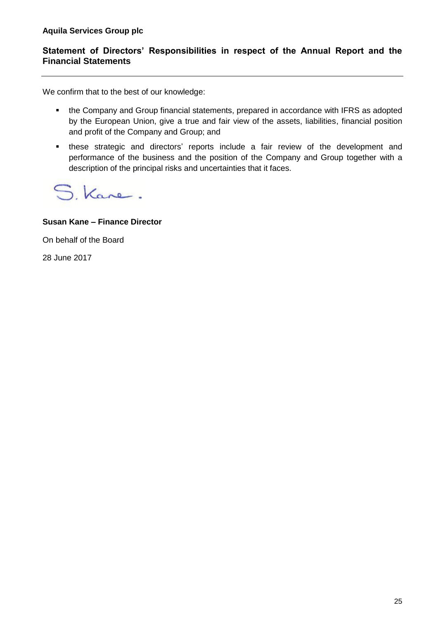## **Statement of Directors' Responsibilities in respect of the Annual Report and the Financial Statements**

We confirm that to the best of our knowledge:

- the Company and Group financial statements, prepared in accordance with IFRS as adopted by the European Union, give a true and fair view of the assets, liabilities, financial position and profit of the Company and Group; and
- these strategic and directors' reports include a fair review of the development and performance of the business and the position of the Company and Group together with a description of the principal risks and uncertainties that it faces.

S. Kane.

#### **Susan Kane – Finance Director**

On behalf of the Board

28 June 2017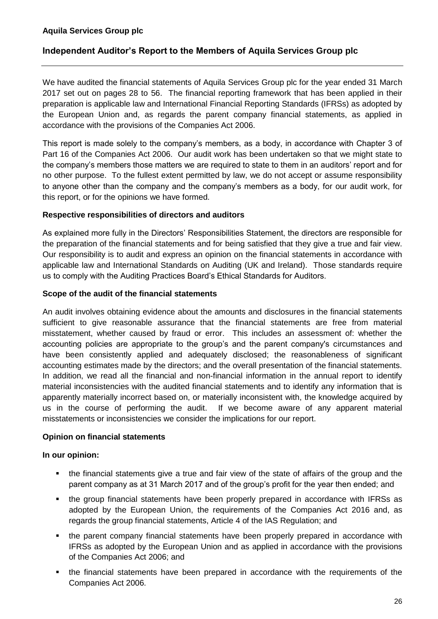## **Independent Auditor's Report to the Members of Aquila Services Group plc**

We have audited the financial statements of Aquila Services Group plc for the year ended 31 March 2017 set out on pages 28 to 56. The financial reporting framework that has been applied in their preparation is applicable law and International Financial Reporting Standards (IFRSs) as adopted by the European Union and, as regards the parent company financial statements, as applied in accordance with the provisions of the Companies Act 2006.

This report is made solely to the company's members, as a body, in accordance with Chapter 3 of Part 16 of the Companies Act 2006. Our audit work has been undertaken so that we might state to the company's members those matters we are required to state to them in an auditors' report and for no other purpose. To the fullest extent permitted by law, we do not accept or assume responsibility to anyone other than the company and the company's members as a body, for our audit work, for this report, or for the opinions we have formed.

#### **Respective responsibilities of directors and auditors**

As explained more fully in the Directors' Responsibilities Statement, the directors are responsible for the preparation of the financial statements and for being satisfied that they give a true and fair view. Our responsibility is to audit and express an opinion on the financial statements in accordance with applicable law and International Standards on Auditing (UK and Ireland). Those standards require us to comply with the Auditing Practices Board's Ethical Standards for Auditors.

#### **Scope of the audit of the financial statements**

An audit involves obtaining evidence about the amounts and disclosures in the financial statements sufficient to give reasonable assurance that the financial statements are free from material misstatement, whether caused by fraud or error. This includes an assessment of: whether the accounting policies are appropriate to the group's and the parent company's circumstances and have been consistently applied and adequately disclosed; the reasonableness of significant accounting estimates made by the directors; and the overall presentation of the financial statements. In addition, we read all the financial and non-financial information in the annual report to identify material inconsistencies with the audited financial statements and to identify any information that is apparently materially incorrect based on, or materially inconsistent with, the knowledge acquired by us in the course of performing the audit. If we become aware of any apparent material misstatements or inconsistencies we consider the implications for our report.

## **Opinion on financial statements**

#### **In our opinion:**

- the financial statements give a true and fair view of the state of affairs of the group and the parent company as at 31 March 2017 and of the group's profit for the year then ended; and
- the group financial statements have been properly prepared in accordance with IFRSs as adopted by the European Union, the requirements of the Companies Act 2016 and, as regards the group financial statements, Article 4 of the IAS Regulation; and
- the parent company financial statements have been properly prepared in accordance with IFRSs as adopted by the European Union and as applied in accordance with the provisions of the Companies Act 2006; and
- the financial statements have been prepared in accordance with the requirements of the Companies Act 2006.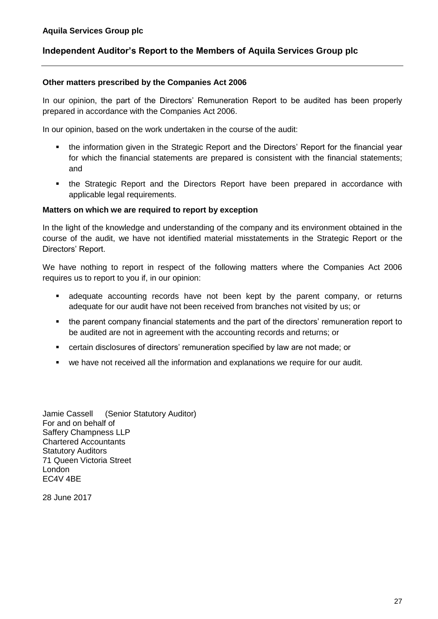## **Independent Auditor's Report to the Members of Aquila Services Group plc**

#### **Other matters prescribed by the Companies Act 2006**

In our opinion, the part of the Directors' Remuneration Report to be audited has been properly prepared in accordance with the Companies Act 2006.

In our opinion, based on the work undertaken in the course of the audit:

- the information given in the Strategic Report and the Directors' Report for the financial year for which the financial statements are prepared is consistent with the financial statements; and
- the Strategic Report and the Directors Report have been prepared in accordance with applicable legal requirements.

#### **Matters on which we are required to report by exception**

In the light of the knowledge and understanding of the company and its environment obtained in the course of the audit, we have not identified material misstatements in the Strategic Report or the Directors' Report.

We have nothing to report in respect of the following matters where the Companies Act 2006 requires us to report to you if, in our opinion:

- adequate accounting records have not been kept by the parent company, or returns adequate for our audit have not been received from branches not visited by us; or
- the parent company financial statements and the part of the directors' remuneration report to be audited are not in agreement with the accounting records and returns; or
- certain disclosures of directors' remuneration specified by law are not made; or
- we have not received all the information and explanations we require for our audit.

Jamie Cassell (Senior Statutory Auditor) For and on behalf of Saffery Champness LLP Chartered Accountants Statutory Auditors 71 Queen Victoria Street London EC4V 4BE

28 June 2017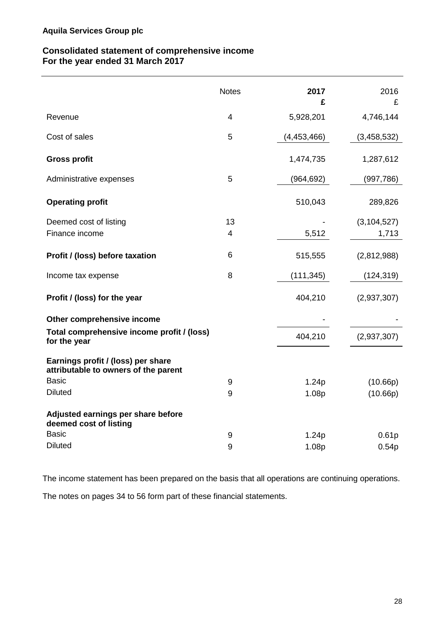## **Consolidated statement of comprehensive income For the year ended 31 March 2017**

|                                                                            | <b>Notes</b>   | 2017<br>£   | 2016<br>£              |
|----------------------------------------------------------------------------|----------------|-------------|------------------------|
| Revenue                                                                    | $\overline{4}$ | 5,928,201   | 4,746,144              |
| Cost of sales                                                              | 5              | (4,453,466) | (3,458,532)            |
| <b>Gross profit</b>                                                        |                | 1,474,735   | 1,287,612              |
| Administrative expenses                                                    | 5              | (964, 692)  | (997, 786)             |
| <b>Operating profit</b>                                                    |                | 510,043     | 289,826                |
| Deemed cost of listing<br>Finance income                                   | 13<br>4        | 5,512       | (3, 104, 527)<br>1,713 |
| Profit / (loss) before taxation                                            | 6              | 515,555     | (2,812,988)            |
| Income tax expense                                                         | 8              | (111, 345)  | (124, 319)             |
| Profit / (loss) for the year                                               |                | 404,210     | (2,937,307)            |
| Other comprehensive income                                                 |                |             |                        |
| Total comprehensive income profit / (loss)<br>for the year                 |                | 404,210     | (2,937,307)            |
| Earnings profit / (loss) per share<br>attributable to owners of the parent |                |             |                        |
| <b>Basic</b>                                                               | 9              | 1.24p       | (10.66p)               |
| <b>Diluted</b>                                                             | 9              | 1.08p       | (10.66p)               |
| Adjusted earnings per share before<br>deemed cost of listing               |                |             |                        |
| <b>Basic</b>                                                               | 9              | 1.24p       | 0.61 <sub>p</sub>      |
| <b>Diluted</b>                                                             | 9              | 1.08p       | 0.54p                  |

The income statement has been prepared on the basis that all operations are continuing operations.

The notes on pages 34 to 56 form part of these financial statements.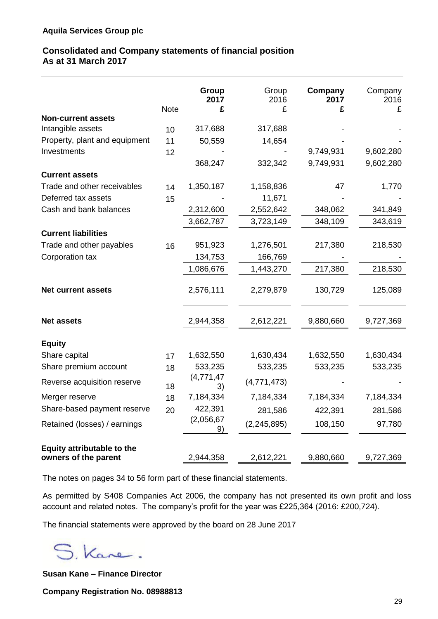## **Consolidated and Company statements of financial position As at 31 March 2017**

|                               | <b>Note</b> | <b>Group</b><br>2017<br>£ | Group<br>2016<br>£ | Company<br>2017<br>£ | Company<br>2016<br>£ |
|-------------------------------|-------------|---------------------------|--------------------|----------------------|----------------------|
| <b>Non-current assets</b>     |             |                           |                    |                      |                      |
| Intangible assets             | 10          | 317,688                   | 317,688            |                      |                      |
| Property, plant and equipment | 11          | 50,559                    | 14,654             |                      |                      |
| Investments                   | 12          |                           |                    | 9,749,931            | 9,602,280            |
|                               |             | 368,247                   | 332,342            | 9,749,931            | 9,602,280            |
| <b>Current assets</b>         |             |                           |                    |                      |                      |
| Trade and other receivables   | 14          | 1,350,187                 | 1,158,836          | 47                   | 1,770                |
| Deferred tax assets           | 15          |                           | 11,671             |                      |                      |
| Cash and bank balances        |             | 2,312,600                 | 2,552,642          | 348,062              | 341,849              |
|                               |             | 3,662,787                 | 3,723,149          | 348,109              | 343,619              |
| <b>Current liabilities</b>    |             |                           |                    |                      |                      |
| Trade and other payables      | 16          | 951,923                   | 1,276,501          | 217,380              | 218,530              |
| Corporation tax               |             | 134,753                   | 166,769            |                      |                      |
|                               |             | 1,086,676                 | 1,443,270          | 217,380              | 218,530              |
| <b>Net current assets</b>     |             | 2,576,111                 | 2,279,879          | 130,729              | 125,089              |
| <b>Net assets</b>             |             | 2,944,358                 | 2,612,221          | 9,880,660            | 9,727,369            |
| <b>Equity</b>                 |             |                           |                    |                      |                      |
| Share capital                 | 17          | 1,632,550                 | 1,630,434          | 1,632,550            | 1,630,434            |
| Share premium account         | 18          | 533,235                   | 533,235            | 533,235              | 533,235              |
| Reverse acquisition reserve   | 18          | (4,771,47)<br>3)          | (4,771,473)        |                      |                      |
| Merger reserve                | 18          | 7,184,334                 | 7,184,334          | 7,184,334            | 7,184,334            |
| Share-based payment reserve   | 20          | 422,391                   | 281,586            | 422,391              | 281,586              |
| Retained (losses) / earnings  |             | (2,056,67)<br>9)          | (2, 245, 895)      | 108,150              | 97,780               |
| Equity attributable to the    |             |                           |                    |                      |                      |
| owners of the parent          |             | 2,944,358                 | 2,612,221          | 9,880,660            | 9,727,369            |

The notes on pages 34 to 56 form part of these financial statements.

As permitted by S408 Companies Act 2006, the company has not presented its own profit and loss account and related notes. The company's profit for the year was £225,364 (2016: £200,724).

The financial statements were approved by the board on 28 June 2017

S. Kane.

**Susan Kane – Finance Director**

**Company Registration No. 08988813**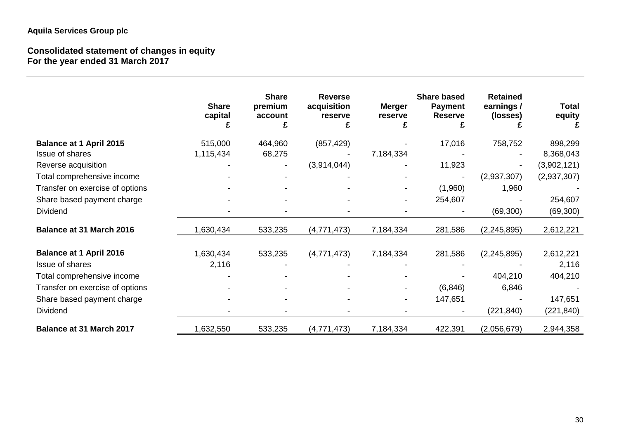# **Aquila Services Group plc**

#### **Consolidated statement of changes in equity For the year ended 31 March 2017**

|                                 | <b>Share</b><br>capital | <b>Share</b><br>premium<br>account | <b>Reverse</b><br>acquisition<br>reserve | <b>Merger</b><br>reserve<br>£ | <b>Share based</b><br><b>Payment</b><br><b>Reserve</b> | <b>Retained</b><br>earnings/<br>(losses) | <b>Total</b><br>equity |
|---------------------------------|-------------------------|------------------------------------|------------------------------------------|-------------------------------|--------------------------------------------------------|------------------------------------------|------------------------|
| <b>Balance at 1 April 2015</b>  | 515,000                 | 464,960                            | (857, 429)                               |                               | 17,016                                                 | 758,752                                  | 898,299                |
| <b>Issue of shares</b>          | 1,115,434               | 68,275                             |                                          | 7,184,334                     |                                                        |                                          | 8,368,043              |
| Reverse acquisition             |                         |                                    | (3,914,044)                              |                               | 11,923                                                 |                                          | (3,902,121)            |
| Total comprehensive income      |                         |                                    |                                          |                               |                                                        | (2,937,307)                              | (2,937,307)            |
| Transfer on exercise of options |                         |                                    |                                          |                               | (1,960)                                                | 1,960                                    |                        |
| Share based payment charge      |                         |                                    |                                          |                               | 254,607                                                |                                          | 254,607                |
| <b>Dividend</b>                 |                         |                                    |                                          |                               |                                                        | (69, 300)                                | (69, 300)              |
| <b>Balance at 31 March 2016</b> | 1,630,434               | 533,235                            | (4,771,473)                              | 7,184,334                     | 281,586                                                | (2, 245, 895)                            | 2,612,221              |
| <b>Balance at 1 April 2016</b>  | 1,630,434               | 533,235                            | (4,771,473)                              | 7,184,334                     | 281,586                                                | (2, 245, 895)                            | 2,612,221              |
| <b>Issue of shares</b>          | 2,116                   |                                    |                                          |                               |                                                        |                                          | 2,116                  |
| Total comprehensive income      |                         |                                    |                                          |                               |                                                        | 404,210                                  | 404,210                |
| Transfer on exercise of options |                         |                                    |                                          |                               | (6, 846)                                               | 6,846                                    |                        |
| Share based payment charge      |                         |                                    |                                          | $\blacksquare$                | 147,651                                                |                                          | 147,651                |
| <b>Dividend</b>                 |                         |                                    |                                          |                               |                                                        | (221, 840)                               | (221, 840)             |
| <b>Balance at 31 March 2017</b> | 1,632,550               | 533,235                            | (4, 771, 473)                            | 7,184,334                     | 422,391                                                | (2,056,679)                              | 2,944,358              |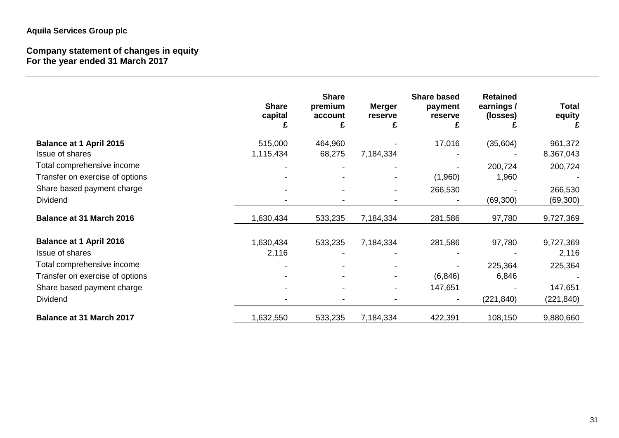# **Aquila Services Group plc**

#### **Company statement of changes in equity For the year ended 31 March 2017**

|                                 | <b>Share</b><br>capital<br>£ | <b>Share</b><br>premium<br>account | <b>Merger</b><br>reserve<br>£ | <b>Share based</b><br>payment<br>reserve<br>£ | <b>Retained</b><br>earnings /<br>(losses) | <b>Total</b><br>equity |
|---------------------------------|------------------------------|------------------------------------|-------------------------------|-----------------------------------------------|-------------------------------------------|------------------------|
| <b>Balance at 1 April 2015</b>  | 515,000                      | 464,960                            |                               | 17,016                                        | (35,604)                                  | 961,372                |
| Issue of shares                 | 1,115,434                    | 68,275                             | 7,184,334                     |                                               |                                           | 8,367,043              |
| Total comprehensive income      |                              |                                    |                               |                                               | 200,724                                   | 200,724                |
| Transfer on exercise of options |                              |                                    |                               | (1,960)                                       | 1,960                                     |                        |
| Share based payment charge      |                              |                                    |                               | 266,530                                       |                                           | 266,530                |
| Dividend                        |                              |                                    |                               |                                               | (69, 300)                                 | (69, 300)              |
| <b>Balance at 31 March 2016</b> | 1,630,434                    | 533,235                            | 7,184,334                     | 281,586                                       | 97,780                                    | 9,727,369              |
| <b>Balance at 1 April 2016</b>  | 1,630,434                    | 533,235                            | 7,184,334                     | 281,586                                       | 97,780                                    | 9,727,369              |
| Issue of shares                 | 2,116                        |                                    |                               |                                               |                                           | 2,116                  |
| Total comprehensive income      |                              |                                    |                               |                                               | 225,364                                   | 225,364                |
| Transfer on exercise of options |                              |                                    |                               | (6, 846)                                      | 6,846                                     |                        |
| Share based payment charge      |                              |                                    |                               | 147,651                                       |                                           | 147,651                |
| Dividend                        |                              |                                    |                               |                                               | (221, 840)                                | (221, 840)             |
| <b>Balance at 31 March 2017</b> | 1,632,550                    | 533,235                            | 7,184,334                     | 422,391                                       | 108,150                                   | 9,880,660              |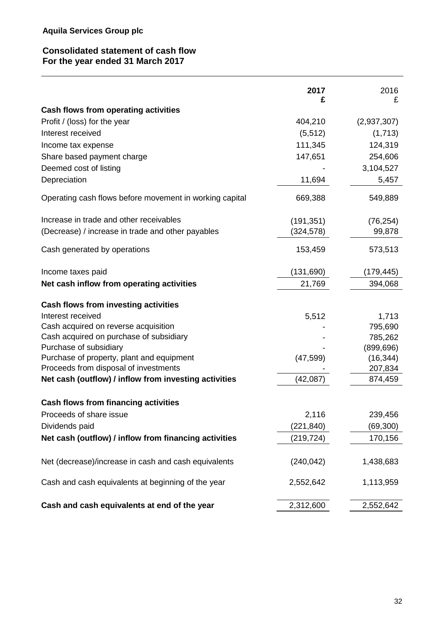## **Consolidated statement of cash flow For the year ended 31 March 2017**

|                                                         | 2017<br>£  | 2016<br>£   |
|---------------------------------------------------------|------------|-------------|
| Cash flows from operating activities                    |            |             |
| Profit / (loss) for the year                            | 404,210    | (2,937,307) |
| Interest received                                       | (5, 512)   | (1,713)     |
| Income tax expense                                      | 111,345    | 124,319     |
| Share based payment charge                              | 147,651    | 254,606     |
| Deemed cost of listing                                  |            | 3,104,527   |
| Depreciation                                            | 11,694     | 5,457       |
| Operating cash flows before movement in working capital | 669,388    | 549,889     |
| Increase in trade and other receivables                 | (191, 351) | (76, 254)   |
| (Decrease) / increase in trade and other payables       | (324, 578) | 99,878      |
| Cash generated by operations                            | 153,459    | 573,513     |
| Income taxes paid                                       | (131, 690) | (179, 445)  |
| Net cash inflow from operating activities               | 21,769     | 394,068     |
| <b>Cash flows from investing activities</b>             |            |             |
| Interest received                                       | 5,512      | 1,713       |
| Cash acquired on reverse acquisition                    |            | 795,690     |
| Cash acquired on purchase of subsidiary                 |            | 785,262     |
| Purchase of subsidiary                                  |            | (899, 696)  |
| Purchase of property, plant and equipment               | (47, 599)  | (16, 344)   |
| Proceeds from disposal of investments                   |            | 207,834     |
| Net cash (outflow) / inflow from investing activities   | (42,087)   | 874,459     |
| Cash flows from financing activities                    |            |             |
| Proceeds of share issue                                 | 2,116      | 239,456     |
| Dividends paid                                          | (221, 840) | (69, 300)   |
| Net cash (outflow) / inflow from financing activities   | (219, 724) | 170,156     |
| Net (decrease)/increase in cash and cash equivalents    | (240, 042) | 1,438,683   |
| Cash and cash equivalents at beginning of the year      | 2,552,642  | 1,113,959   |
| Cash and cash equivalents at end of the year            | 2,312,600  | 2,552,642   |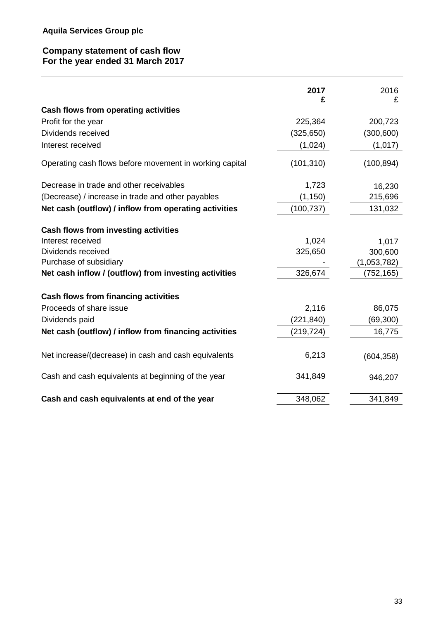## **Company statement of cash flow For the year ended 31 March 2017**

|                                                         | 2017<br>£  | 2016<br>£   |
|---------------------------------------------------------|------------|-------------|
| Cash flows from operating activities                    |            |             |
| Profit for the year                                     | 225,364    | 200,723     |
| Dividends received                                      | (325, 650) | (300, 600)  |
| Interest received                                       | (1,024)    | (1,017)     |
| Operating cash flows before movement in working capital | (101, 310) | (100, 894)  |
| Decrease in trade and other receivables                 | 1,723      | 16,230      |
| (Decrease) / increase in trade and other payables       | (1, 150)   | 215,696     |
| Net cash (outflow) / inflow from operating activities   | (100, 737) | 131,032     |
| Cash flows from investing activities                    |            |             |
| Interest received                                       | 1,024      | 1,017       |
| Dividends received                                      | 325,650    | 300,600     |
| Purchase of subsidiary                                  |            | (1,053,782) |
| Net cash inflow / (outflow) from investing activities   | 326,674    | (752,165)   |
| Cash flows from financing activities                    |            |             |
| Proceeds of share issue                                 | 2,116      | 86,075      |
| Dividends paid                                          | (221, 840) | (69, 300)   |
| Net cash (outflow) / inflow from financing activities   | (219, 724) | 16,775      |
| Net increase/(decrease) in cash and cash equivalents    | 6,213      | (604, 358)  |
| Cash and cash equivalents at beginning of the year      | 341,849    | 946,207     |
| Cash and cash equivalents at end of the year            | 348,062    | 341,849     |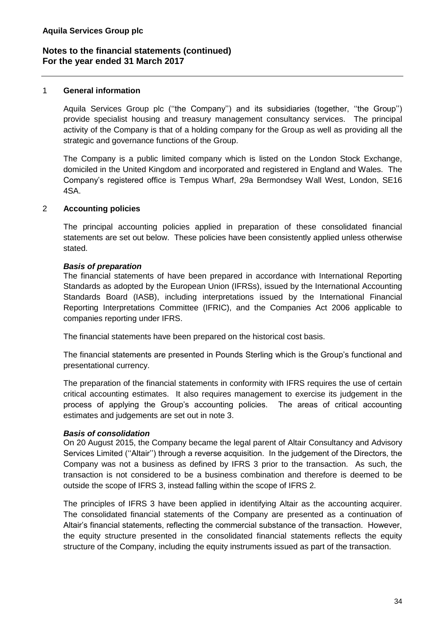#### 1 **General information**

Aquila Services Group plc (''the Company'') and its subsidiaries (together, ''the Group'') provide specialist housing and treasury management consultancy services. The principal activity of the Company is that of a holding company for the Group as well as providing all the strategic and governance functions of the Group.

The Company is a public limited company which is listed on the London Stock Exchange, domiciled in the United Kingdom and incorporated and registered in England and Wales. The Company's registered office is Tempus Wharf, 29a Bermondsey Wall West, London, SE16 4SA.

#### 2 **Accounting policies**

The principal accounting policies applied in preparation of these consolidated financial statements are set out below. These policies have been consistently applied unless otherwise stated.

#### *Basis of preparation*

The financial statements of have been prepared in accordance with International Reporting Standards as adopted by the European Union (IFRSs), issued by the International Accounting Standards Board (IASB), including interpretations issued by the International Financial Reporting Interpretations Committee (IFRIC), and the Companies Act 2006 applicable to companies reporting under IFRS.

The financial statements have been prepared on the historical cost basis.

The financial statements are presented in Pounds Sterling which is the Group's functional and presentational currency.

The preparation of the financial statements in conformity with IFRS requires the use of certain critical accounting estimates. It also requires management to exercise its judgement in the process of applying the Group's accounting policies. The areas of critical accounting estimates and judgements are set out in note 3.

#### *Basis of consolidation*

On 20 August 2015, the Company became the legal parent of Altair Consultancy and Advisory Services Limited (''Altair'') through a reverse acquisition. In the judgement of the Directors, the Company was not a business as defined by IFRS 3 prior to the transaction. As such, the transaction is not considered to be a business combination and therefore is deemed to be outside the scope of IFRS 3, instead falling within the scope of IFRS 2.

The principles of IFRS 3 have been applied in identifying Altair as the accounting acquirer. The consolidated financial statements of the Company are presented as a continuation of Altair's financial statements, reflecting the commercial substance of the transaction. However, the equity structure presented in the consolidated financial statements reflects the equity structure of the Company, including the equity instruments issued as part of the transaction.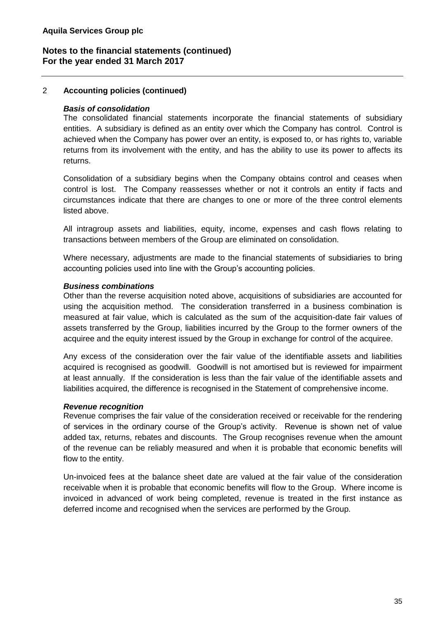## 2 **Accounting policies (continued)**

## *Basis of consolidation*

The consolidated financial statements incorporate the financial statements of subsidiary entities. A subsidiary is defined as an entity over which the Company has control. Control is achieved when the Company has power over an entity, is exposed to, or has rights to, variable returns from its involvement with the entity, and has the ability to use its power to affects its returns.

Consolidation of a subsidiary begins when the Company obtains control and ceases when control is lost. The Company reassesses whether or not it controls an entity if facts and circumstances indicate that there are changes to one or more of the three control elements listed above.

All intragroup assets and liabilities, equity, income, expenses and cash flows relating to transactions between members of the Group are eliminated on consolidation.

Where necessary, adjustments are made to the financial statements of subsidiaries to bring accounting policies used into line with the Group's accounting policies.

#### *Business combinations*

Other than the reverse acquisition noted above, acquisitions of subsidiaries are accounted for using the acquisition method. The consideration transferred in a business combination is measured at fair value, which is calculated as the sum of the acquisition-date fair values of assets transferred by the Group, liabilities incurred by the Group to the former owners of the acquiree and the equity interest issued by the Group in exchange for control of the acquiree.

Any excess of the consideration over the fair value of the identifiable assets and liabilities acquired is recognised as goodwill. Goodwill is not amortised but is reviewed for impairment at least annually. If the consideration is less than the fair value of the identifiable assets and liabilities acquired, the difference is recognised in the Statement of comprehensive income.

## *Revenue recognition*

Revenue comprises the fair value of the consideration received or receivable for the rendering of services in the ordinary course of the Group's activity. Revenue is shown net of value added tax, returns, rebates and discounts. The Group recognises revenue when the amount of the revenue can be reliably measured and when it is probable that economic benefits will flow to the entity.

Un-invoiced fees at the balance sheet date are valued at the fair value of the consideration receivable when it is probable that economic benefits will flow to the Group. Where income is invoiced in advanced of work being completed, revenue is treated in the first instance as deferred income and recognised when the services are performed by the Group.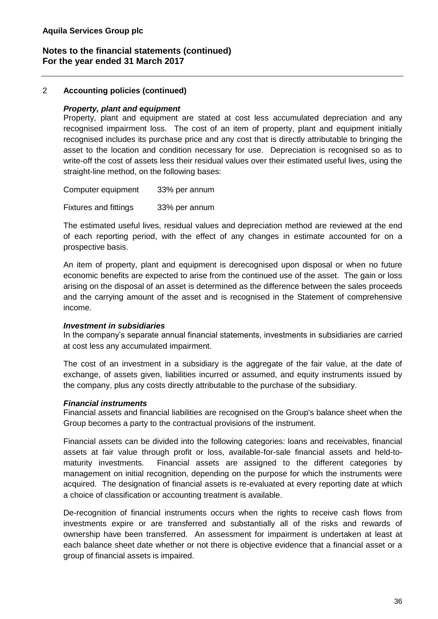## 2 **Accounting policies (continued)**

#### *Property, plant and equipment*

Property, plant and equipment are stated at cost less accumulated depreciation and any recognised impairment loss. The cost of an item of property, plant and equipment initially recognised includes its purchase price and any cost that is directly attributable to bringing the asset to the location and condition necessary for use. Depreciation is recognised so as to write-off the cost of assets less their residual values over their estimated useful lives, using the straight-line method, on the following bases:

Computer equipment 33% per annum Fixtures and fittings 33% per annum

The estimated useful lives, residual values and depreciation method are reviewed at the end of each reporting period, with the effect of any changes in estimate accounted for on a prospective basis.

An item of property, plant and equipment is derecognised upon disposal or when no future economic benefits are expected to arise from the continued use of the asset. The gain or loss arising on the disposal of an asset is determined as the difference between the sales proceeds and the carrying amount of the asset and is recognised in the Statement of comprehensive income.

#### *Investment in subsidiaries*

In the company's separate annual financial statements, investments in subsidiaries are carried at cost less any accumulated impairment.

The cost of an investment in a subsidiary is the aggregate of the fair value, at the date of exchange, of assets given, liabilities incurred or assumed, and equity instruments issued by the company, plus any costs directly attributable to the purchase of the subsidiary.

#### *Financial instruments*

Financial assets and financial liabilities are recognised on the Group's balance sheet when the Group becomes a party to the contractual provisions of the instrument.

Financial assets can be divided into the following categories: loans and receivables, financial assets at fair value through profit or loss, available-for-sale financial assets and held-tomaturity investments. Financial assets are assigned to the different categories by management on initial recognition, depending on the purpose for which the instruments were acquired. The designation of financial assets is re-evaluated at every reporting date at which a choice of classification or accounting treatment is available.

De-recognition of financial instruments occurs when the rights to receive cash flows from investments expire or are transferred and substantially all of the risks and rewards of ownership have been transferred. An assessment for impairment is undertaken at least at each balance sheet date whether or not there is objective evidence that a financial asset or a group of financial assets is impaired.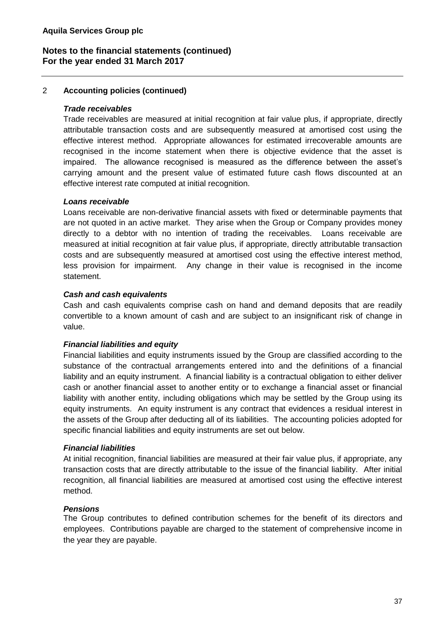## 2 **Accounting policies (continued)**

#### *Trade receivables*

Trade receivables are measured at initial recognition at fair value plus, if appropriate, directly attributable transaction costs and are subsequently measured at amortised cost using the effective interest method. Appropriate allowances for estimated irrecoverable amounts are recognised in the income statement when there is objective evidence that the asset is impaired. The allowance recognised is measured as the difference between the asset's carrying amount and the present value of estimated future cash flows discounted at an effective interest rate computed at initial recognition.

#### *Loans receivable*

Loans receivable are non-derivative financial assets with fixed or determinable payments that are not quoted in an active market. They arise when the Group or Company provides money directly to a debtor with no intention of trading the receivables. Loans receivable are measured at initial recognition at fair value plus, if appropriate, directly attributable transaction costs and are subsequently measured at amortised cost using the effective interest method, less provision for impairment. Any change in their value is recognised in the income statement.

## *Cash and cash equivalents*

Cash and cash equivalents comprise cash on hand and demand deposits that are readily convertible to a known amount of cash and are subject to an insignificant risk of change in value.

## *Financial liabilities and equity*

Financial liabilities and equity instruments issued by the Group are classified according to the substance of the contractual arrangements entered into and the definitions of a financial liability and an equity instrument. A financial liability is a contractual obligation to either deliver cash or another financial asset to another entity or to exchange a financial asset or financial liability with another entity, including obligations which may be settled by the Group using its equity instruments. An equity instrument is any contract that evidences a residual interest in the assets of the Group after deducting all of its liabilities. The accounting policies adopted for specific financial liabilities and equity instruments are set out below.

#### *Financial liabilities*

At initial recognition, financial liabilities are measured at their fair value plus, if appropriate, any transaction costs that are directly attributable to the issue of the financial liability. After initial recognition, all financial liabilities are measured at amortised cost using the effective interest method.

## *Pensions*

The Group contributes to defined contribution schemes for the benefit of its directors and employees. Contributions payable are charged to the statement of comprehensive income in the year they are payable.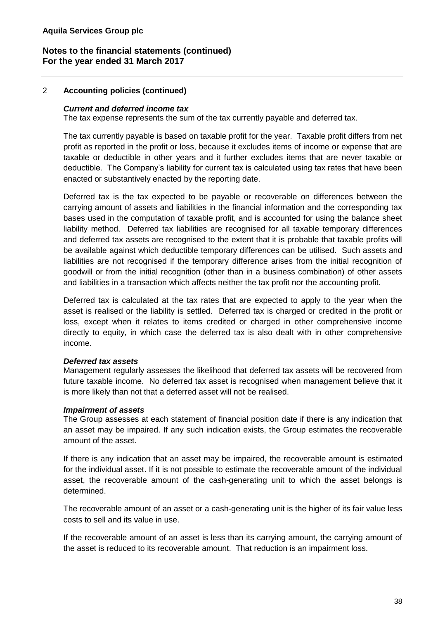## 2 **Accounting policies (continued)**

#### *Current and deferred income tax*

The tax expense represents the sum of the tax currently payable and deferred tax.

The tax currently payable is based on taxable profit for the year. Taxable profit differs from net profit as reported in the profit or loss, because it excludes items of income or expense that are taxable or deductible in other years and it further excludes items that are never taxable or deductible. The Company's liability for current tax is calculated using tax rates that have been enacted or substantively enacted by the reporting date.

Deferred tax is the tax expected to be payable or recoverable on differences between the carrying amount of assets and liabilities in the financial information and the corresponding tax bases used in the computation of taxable profit, and is accounted for using the balance sheet liability method. Deferred tax liabilities are recognised for all taxable temporary differences and deferred tax assets are recognised to the extent that it is probable that taxable profits will be available against which deductible temporary differences can be utilised. Such assets and liabilities are not recognised if the temporary difference arises from the initial recognition of goodwill or from the initial recognition (other than in a business combination) of other assets and liabilities in a transaction which affects neither the tax profit nor the accounting profit.

Deferred tax is calculated at the tax rates that are expected to apply to the year when the asset is realised or the liability is settled. Deferred tax is charged or credited in the profit or loss, except when it relates to items credited or charged in other comprehensive income directly to equity, in which case the deferred tax is also dealt with in other comprehensive income.

#### *Deferred tax assets*

Management regularly assesses the likelihood that deferred tax assets will be recovered from future taxable income. No deferred tax asset is recognised when management believe that it is more likely than not that a deferred asset will not be realised.

#### *Impairment of assets*

The Group assesses at each statement of financial position date if there is any indication that an asset may be impaired. If any such indication exists, the Group estimates the recoverable amount of the asset.

If there is any indication that an asset may be impaired, the recoverable amount is estimated for the individual asset. If it is not possible to estimate the recoverable amount of the individual asset, the recoverable amount of the cash-generating unit to which the asset belongs is determined.

The recoverable amount of an asset or a cash-generating unit is the higher of its fair value less costs to sell and its value in use.

If the recoverable amount of an asset is less than its carrying amount, the carrying amount of the asset is reduced to its recoverable amount. That reduction is an impairment loss.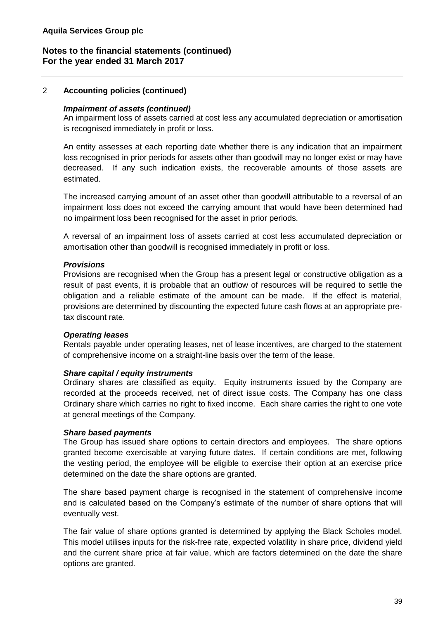## 2 **Accounting policies (continued)**

#### *Impairment of assets (continued)*

An impairment loss of assets carried at cost less any accumulated depreciation or amortisation is recognised immediately in profit or loss.

An entity assesses at each reporting date whether there is any indication that an impairment loss recognised in prior periods for assets other than goodwill may no longer exist or may have decreased. If any such indication exists, the recoverable amounts of those assets are estimated.

The increased carrying amount of an asset other than goodwill attributable to a reversal of an impairment loss does not exceed the carrying amount that would have been determined had no impairment loss been recognised for the asset in prior periods.

A reversal of an impairment loss of assets carried at cost less accumulated depreciation or amortisation other than goodwill is recognised immediately in profit or loss.

#### *Provisions*

Provisions are recognised when the Group has a present legal or constructive obligation as a result of past events, it is probable that an outflow of resources will be required to settle the obligation and a reliable estimate of the amount can be made. If the effect is material, provisions are determined by discounting the expected future cash flows at an appropriate pretax discount rate.

#### *Operating leases*

Rentals payable under operating leases, net of lease incentives, are charged to the statement of comprehensive income on a straight-line basis over the term of the lease.

#### *Share capital / equity instruments*

Ordinary shares are classified as equity. Equity instruments issued by the Company are recorded at the proceeds received, net of direct issue costs. The Company has one class Ordinary share which carries no right to fixed income. Each share carries the right to one vote at general meetings of the Company.

#### *Share based payments*

The Group has issued share options to certain directors and employees. The share options granted become exercisable at varying future dates. If certain conditions are met, following the vesting period, the employee will be eligible to exercise their option at an exercise price determined on the date the share options are granted.

The share based payment charge is recognised in the statement of comprehensive income and is calculated based on the Company's estimate of the number of share options that will eventually vest.

The fair value of share options granted is determined by applying the Black Scholes model. This model utilises inputs for the risk-free rate, expected volatility in share price, dividend yield and the current share price at fair value, which are factors determined on the date the share options are granted.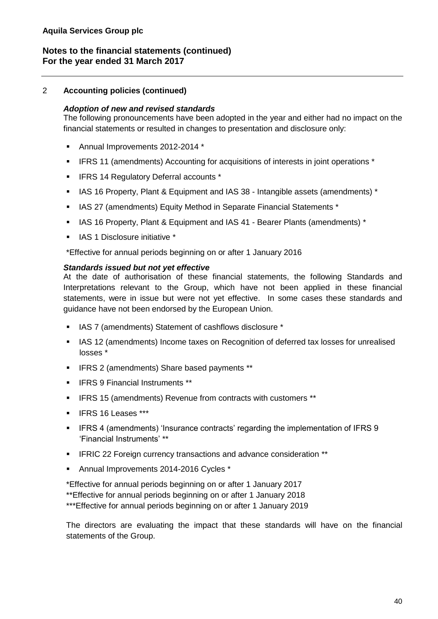## 2 **Accounting policies (continued)**

#### *Adoption of new and revised standards*

The following pronouncements have been adopted in the year and either had no impact on the financial statements or resulted in changes to presentation and disclosure only:

- Annual Improvements 2012-2014 \*
- IFRS 11 (amendments) Accounting for acquisitions of interests in joint operations \*
- IFRS 14 Regulatory Deferral accounts \*
- IAS 16 Property, Plant & Equipment and IAS 38 Intangible assets (amendments) \*
- IAS 27 (amendments) Equity Method in Separate Financial Statements \*
- IAS 16 Property, Plant & Equipment and IAS 41 Bearer Plants (amendments) \*
- IAS 1 Disclosure initiative \*

\*Effective for annual periods beginning on or after 1 January 2016

#### *Standards issued but not yet effective*

At the date of authorisation of these financial statements, the following Standards and Interpretations relevant to the Group, which have not been applied in these financial statements, were in issue but were not yet effective. In some cases these standards and guidance have not been endorsed by the European Union.

- IAS 7 (amendments) Statement of cashflows disclosure \*
- **IAS 12 (amendments) Income taxes on Recognition of deferred tax losses for unrealised** losses \*
- IFRS 2 (amendments) Share based payments \*\*
- IFRS 9 Financial Instruments \*\*
- IFRS 15 (amendments) Revenue from contracts with customers \*\*
- IFRS 16 Leases \*\*\*
- IFRS 4 (amendments) 'Insurance contracts' regarding the implementation of IFRS 9 'Financial Instruments' \*\*
- **EXEC 22 Foreign currency transactions and advance consideration \*\***
- Annual Improvements 2014-2016 Cycles \*

\*Effective for annual periods beginning on or after 1 January 2017 \*\*Effective for annual periods beginning on or after 1 January 2018 \*\*\*Effective for annual periods beginning on or after 1 January 2019

The directors are evaluating the impact that these standards will have on the financial statements of the Group.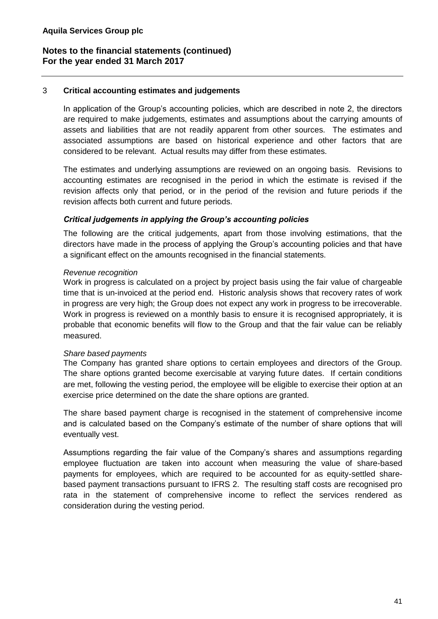#### 3 **Critical accounting estimates and judgements**

In application of the Group's accounting policies, which are described in note 2, the directors are required to make judgements, estimates and assumptions about the carrying amounts of assets and liabilities that are not readily apparent from other sources. The estimates and associated assumptions are based on historical experience and other factors that are considered to be relevant. Actual results may differ from these estimates.

The estimates and underlying assumptions are reviewed on an ongoing basis. Revisions to accounting estimates are recognised in the period in which the estimate is revised if the revision affects only that period, or in the period of the revision and future periods if the revision affects both current and future periods.

#### *Critical judgements in applying the Group's accounting policies*

The following are the critical judgements, apart from those involving estimations, that the directors have made in the process of applying the Group's accounting policies and that have a significant effect on the amounts recognised in the financial statements.

#### *Revenue recognition*

Work in progress is calculated on a project by project basis using the fair value of chargeable time that is un-invoiced at the period end. Historic analysis shows that recovery rates of work in progress are very high; the Group does not expect any work in progress to be irrecoverable. Work in progress is reviewed on a monthly basis to ensure it is recognised appropriately, it is probable that economic benefits will flow to the Group and that the fair value can be reliably measured.

#### *Share based payments*

The Company has granted share options to certain employees and directors of the Group. The share options granted become exercisable at varying future dates. If certain conditions are met, following the vesting period, the employee will be eligible to exercise their option at an exercise price determined on the date the share options are granted.

The share based payment charge is recognised in the statement of comprehensive income and is calculated based on the Company's estimate of the number of share options that will eventually vest.

Assumptions regarding the fair value of the Company's shares and assumptions regarding employee fluctuation are taken into account when measuring the value of share-based payments for employees, which are required to be accounted for as equity-settled sharebased payment transactions pursuant to IFRS 2. The resulting staff costs are recognised pro rata in the statement of comprehensive income to reflect the services rendered as consideration during the vesting period.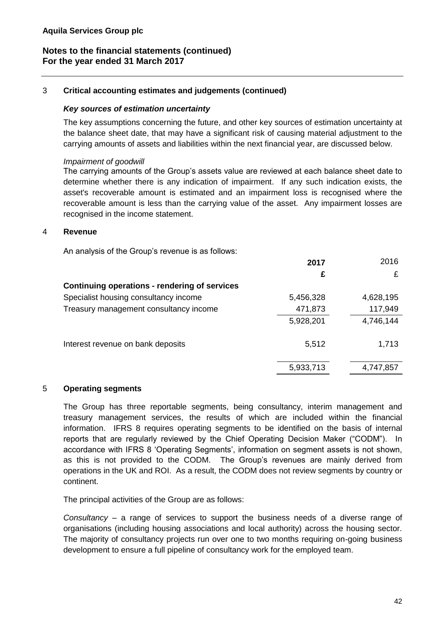#### 3 **Critical accounting estimates and judgements (continued)**

#### *Key sources of estimation uncertainty*

The key assumptions concerning the future, and other key sources of estimation uncertainty at the balance sheet date, that may have a significant risk of causing material adjustment to the carrying amounts of assets and liabilities within the next financial year, are discussed below.

#### *Impairment of goodwill*

The carrying amounts of the Group's assets value are reviewed at each balance sheet date to determine whether there is any indication of impairment. If any such indication exists, the asset's recoverable amount is estimated and an impairment loss is recognised where the recoverable amount is less than the carrying value of the asset. Any impairment losses are recognised in the income statement.

#### 4 **Revenue**

An analysis of the Group's revenue is as follows:

|                                               | 2017      | 2016      |
|-----------------------------------------------|-----------|-----------|
|                                               | £         | £         |
| Continuing operations - rendering of services |           |           |
| Specialist housing consultancy income         | 5,456,328 | 4,628,195 |
| Treasury management consultancy income        | 471,873   | 117,949   |
|                                               | 5,928,201 | 4,746,144 |
| Interest revenue on bank deposits             | 5,512     | 1,713     |
|                                               | 5,933,713 | 4,747,857 |

#### 5 **Operating segments**

The Group has three reportable segments, being consultancy, interim management and treasury management services, the results of which are included within the financial information. IFRS 8 requires operating segments to be identified on the basis of internal reports that are regularly reviewed by the Chief Operating Decision Maker ("CODM"). In accordance with IFRS 8 'Operating Segments', information on segment assets is not shown, as this is not provided to the CODM. The Group's revenues are mainly derived from operations in the UK and ROI. As a result, the CODM does not review segments by country or continent.

The principal activities of the Group are as follows:

*Consultancy* – a range of services to support the business needs of a diverse range of organisations (including housing associations and local authority) across the housing sector. The majority of consultancy projects run over one to two months requiring on-going business development to ensure a full pipeline of consultancy work for the employed team.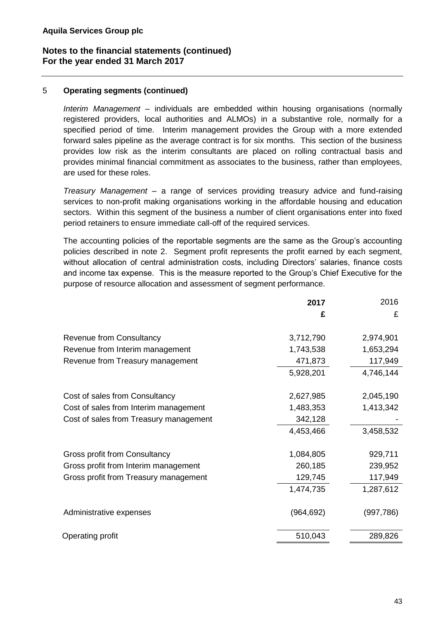## 5 **Operating segments (continued)**

*Interim Management* – individuals are embedded within housing organisations (normally registered providers, local authorities and ALMOs) in a substantive role, normally for a specified period of time. Interim management provides the Group with a more extended forward sales pipeline as the average contract is for six months. This section of the business provides low risk as the interim consultants are placed on rolling contractual basis and provides minimal financial commitment as associates to the business, rather than employees, are used for these roles.

*Treasury Management* – a range of services providing treasury advice and fund-raising services to non-profit making organisations working in the affordable housing and education sectors. Within this segment of the business a number of client organisations enter into fixed period retainers to ensure immediate call-off of the required services.

The accounting policies of the reportable segments are the same as the Group's accounting policies described in note 2. Segment profit represents the profit earned by each segment, without allocation of central administration costs, including Directors' salaries, finance costs and income tax expense. This is the measure reported to the Group's Chief Executive for the purpose of resource allocation and assessment of segment performance.

|                                        | 2017       | 2016       |
|----------------------------------------|------------|------------|
|                                        | £          | £          |
| Revenue from Consultancy               | 3,712,790  | 2,974,901  |
| Revenue from Interim management        | 1,743,538  | 1,653,294  |
| Revenue from Treasury management       | 471,873    | 117,949    |
|                                        | 5,928,201  | 4,746,144  |
| Cost of sales from Consultancy         | 2,627,985  | 2,045,190  |
| Cost of sales from Interim management  | 1,483,353  | 1,413,342  |
| Cost of sales from Treasury management | 342,128    |            |
|                                        | 4,453,466  | 3,458,532  |
| Gross profit from Consultancy          | 1,084,805  | 929,711    |
| Gross profit from Interim management   | 260,185    | 239,952    |
| Gross profit from Treasury management  | 129,745    | 117,949    |
|                                        | 1,474,735  | 1,287,612  |
| Administrative expenses                | (964, 692) | (997, 786) |
| Operating profit                       | 510,043    | 289,826    |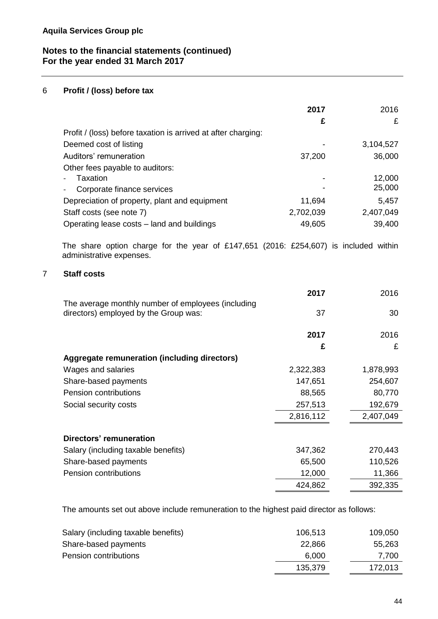## 6 **Profit / (loss) before tax**

|                                                                                                                  | 2017      | 2016      |
|------------------------------------------------------------------------------------------------------------------|-----------|-----------|
|                                                                                                                  | £         | £         |
| Profit / (loss) before taxation is arrived at after charging:                                                    |           |           |
| Deemed cost of listing                                                                                           |           | 3,104,527 |
| Auditors' remuneration                                                                                           | 37,200    | 36,000    |
| Other fees payable to auditors:                                                                                  |           |           |
| Taxation                                                                                                         |           | 12,000    |
| Corporate finance services                                                                                       |           | 25,000    |
| Depreciation of property, plant and equipment                                                                    | 11,694    | 5,457     |
| Staff costs (see note 7)                                                                                         | 2,702,039 | 2,407,049 |
| Operating lease costs – land and buildings                                                                       | 49,605    | 39,400    |
| The share option charge for the year of £147,651 (2016: £254,607) is included within<br>administrative expenses. |           |           |
| 7<br><b>Staff costs</b>                                                                                          |           |           |
|                                                                                                                  | 2017      | 2016      |
| The average monthly number of employees (including                                                               |           |           |
| directors) employed by the Group was:                                                                            | 37        | 30        |
|                                                                                                                  | 2017      | 2016      |
|                                                                                                                  | £         | £         |
| Aggregate remuneration (including directors)                                                                     |           |           |
| Wages and salaries                                                                                               | 2,322,383 | 1,878,993 |
| Share-based payments                                                                                             | 147,651   | 254,607   |
| <b>Pension contributions</b>                                                                                     | 88,565    | 80,770    |
| Social security costs                                                                                            | 257,513   | 192,679   |
|                                                                                                                  | 2,816,112 | 2,407,049 |
| Directors' remuneration                                                                                          |           |           |
| Salary (including taxable benefits)                                                                              | 347,362   | 270,443   |
| Share-based payments                                                                                             | 65,500    | 110,526   |
| Pension contributions                                                                                            | 12,000    | 11,366    |
|                                                                                                                  | 424,862   | 392,335   |

The amounts set out above include remuneration to the highest paid director as follows:

| 106,513 | 109,050 |
|---------|---------|
| 22,866  | 55,263  |
| 6.000   | 7.700   |
| 135,379 | 172,013 |
|         |         |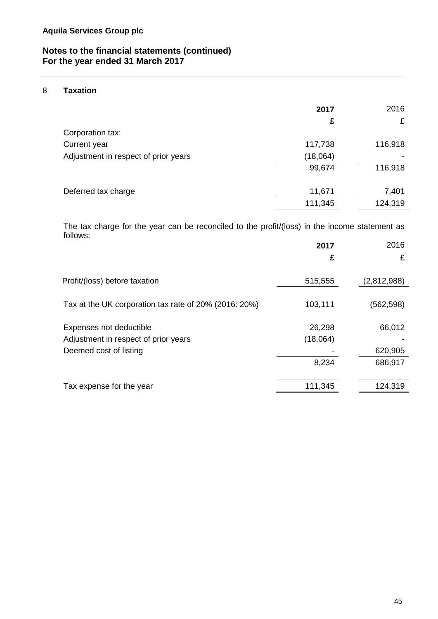## 8 **Taxation**

|                                      | 2017<br>£ | 2016<br>£ |
|--------------------------------------|-----------|-----------|
| Corporation tax:                     |           |           |
| Current year                         | 117,738   | 116,918   |
| Adjustment in respect of prior years | (18,064)  |           |
|                                      | 99,674    | 116,918   |
|                                      |           |           |
| Deferred tax charge                  | 11,671    | 7,401     |
|                                      | 111,345   | 124,319   |

The tax charge for the year can be reconciled to the profit/(loss) in the income statement as follows:

|                                                       | 2017     | 2016        |
|-------------------------------------------------------|----------|-------------|
|                                                       | £        | £           |
| Profit/(loss) before taxation                         | 515,555  | (2,812,988) |
| Tax at the UK corporation tax rate of 20% (2016: 20%) | 103,111  | (562,598)   |
| Expenses not deductible                               | 26,298   | 66,012      |
| Adjustment in respect of prior years                  | (18,064) |             |
| Deemed cost of listing                                |          | 620,905     |
|                                                       | 8,234    | 686,917     |
| Tax expense for the year                              | 111,345  | 124,319     |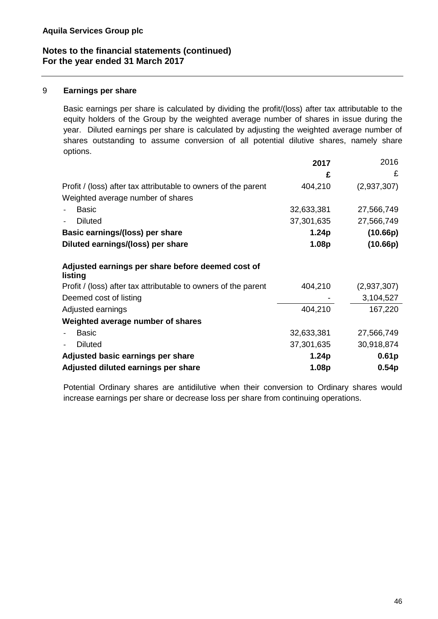#### 9 **Earnings per share**

Basic earnings per share is calculated by dividing the profit/(loss) after tax attributable to the equity holders of the Group by the weighted average number of shares in issue during the year. Diluted earnings per share is calculated by adjusting the weighted average number of shares outstanding to assume conversion of all potential dilutive shares, namely share options.

|                                                                | 2017              | 2016              |
|----------------------------------------------------------------|-------------------|-------------------|
|                                                                | £                 | £                 |
| Profit / (loss) after tax attributable to owners of the parent | 404,210           | (2,937,307)       |
| Weighted average number of shares                              |                   |                   |
| <b>Basic</b>                                                   | 32,633,381        | 27,566,749        |
| <b>Diluted</b>                                                 | 37,301,635        | 27,566,749        |
| Basic earnings/(loss) per share                                | 1.24 <sub>p</sub> | (10.66p)          |
| Diluted earnings/(loss) per share                              | 1.08p             | (10.66p)          |
| Adjusted earnings per share before deemed cost of<br>listing   |                   |                   |
| Profit / (loss) after tax attributable to owners of the parent | 404,210           | (2,937,307)       |
| Deemed cost of listing                                         |                   | 3,104,527         |
| Adjusted earnings                                              | 404,210           | 167,220           |
| Weighted average number of shares                              |                   |                   |
| <b>Basic</b>                                                   | 32,633,381        | 27,566,749        |
| <b>Diluted</b>                                                 | 37,301,635        | 30,918,874        |
| Adjusted basic earnings per share                              | 1.24 <sub>p</sub> | 0.61 <sub>p</sub> |
| Adjusted diluted earnings per share                            | 1.08p             | 0.54 <sub>p</sub> |

Potential Ordinary shares are antidilutive when their conversion to Ordinary shares would increase earnings per share or decrease loss per share from continuing operations.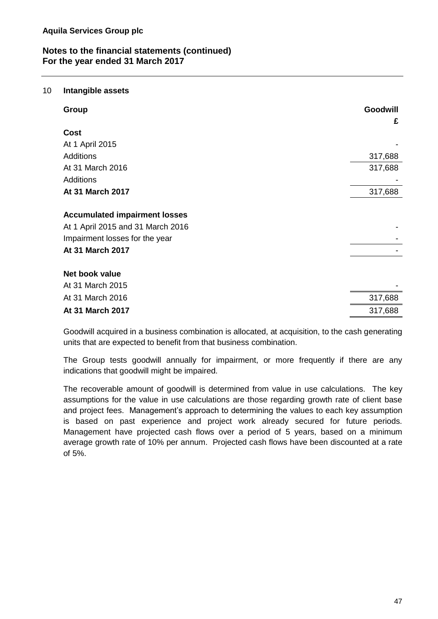#### 10 **Intangible assets**

| <b>Group</b>                                                                                                | Goodwill<br>£ |
|-------------------------------------------------------------------------------------------------------------|---------------|
| Cost                                                                                                        |               |
| At 1 April 2015                                                                                             |               |
| <b>Additions</b>                                                                                            | 317,688       |
| At 31 March 2016                                                                                            | 317,688       |
| <b>Additions</b>                                                                                            |               |
| At 31 March 2017                                                                                            | 317,688       |
| <b>Accumulated impairment losses</b><br>At 1 April 2015 and 31 March 2016<br>Impairment losses for the year |               |
| At 31 March 2017                                                                                            |               |
| Net book value                                                                                              |               |
| At 31 March 2015                                                                                            |               |
| At 31 March 2016                                                                                            | 317,688       |
| At 31 March 2017                                                                                            | 317,688       |

Goodwill acquired in a business combination is allocated, at acquisition, to the cash generating units that are expected to benefit from that business combination.

The Group tests goodwill annually for impairment, or more frequently if there are any indications that goodwill might be impaired.

The recoverable amount of goodwill is determined from value in use calculations. The key assumptions for the value in use calculations are those regarding growth rate of client base and project fees. Management's approach to determining the values to each key assumption is based on past experience and project work already secured for future periods. Management have projected cash flows over a period of 5 years, based on a minimum average growth rate of 10% per annum. Projected cash flows have been discounted at a rate of 5%.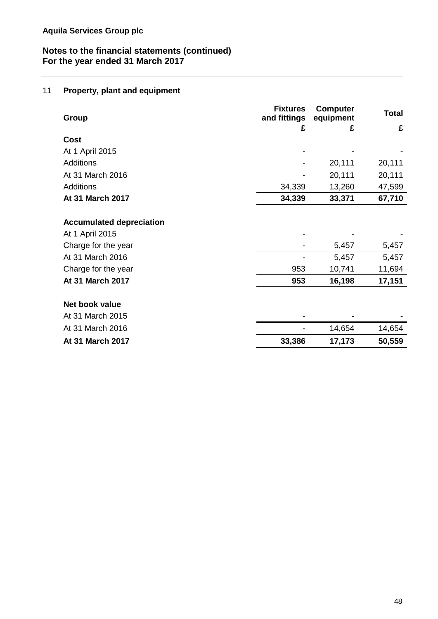## 11 **Property, plant and equipment**

| <b>Group</b>                    | <b>Fixtures</b><br>and fittings | <b>Computer</b><br>equipment | Total  |
|---------------------------------|---------------------------------|------------------------------|--------|
|                                 | £                               | £                            | £      |
| <b>Cost</b>                     |                                 |                              |        |
| At 1 April 2015                 |                                 |                              |        |
| <b>Additions</b>                |                                 | 20,111                       | 20,111 |
| At 31 March 2016                |                                 | 20,111                       | 20,111 |
| <b>Additions</b>                | 34,339                          | 13,260                       | 47,599 |
| At 31 March 2017                | 34,339                          | 33,371                       | 67,710 |
|                                 |                                 |                              |        |
| <b>Accumulated depreciation</b> |                                 |                              |        |
| At 1 April 2015                 |                                 |                              |        |
| Charge for the year             |                                 | 5,457                        | 5,457  |
| At 31 March 2016                |                                 | 5,457                        | 5,457  |
| Charge for the year             | 953                             | 10,741                       | 11,694 |
| At 31 March 2017                | 953                             | 16,198                       | 17,151 |
| Net book value                  |                                 |                              |        |
| At 31 March 2015                |                                 |                              |        |
|                                 |                                 |                              |        |
| At 31 March 2016                |                                 | 14,654                       | 14,654 |
| At 31 March 2017                | 33,386                          | 17,173                       | 50,559 |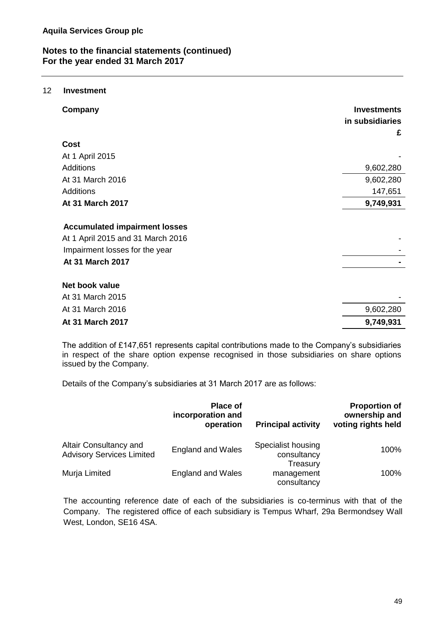#### 12 **Investment**

| Company                                                                                                                                | <b>Investments</b><br>in subsidiaries<br>£ |
|----------------------------------------------------------------------------------------------------------------------------------------|--------------------------------------------|
| Cost                                                                                                                                   |                                            |
| At 1 April 2015                                                                                                                        |                                            |
| <b>Additions</b>                                                                                                                       | 9,602,280                                  |
| At 31 March 2016                                                                                                                       | 9,602,280                                  |
| <b>Additions</b>                                                                                                                       | 147,651                                    |
| At 31 March 2017                                                                                                                       | 9,749,931                                  |
| <b>Accumulated impairment losses</b><br>At 1 April 2015 and 31 March 2016<br>Impairment losses for the year<br><b>At 31 March 2017</b> |                                            |
| Net book value                                                                                                                         |                                            |
| At 31 March 2015                                                                                                                       |                                            |
| At 31 March 2016                                                                                                                       | 9,602,280                                  |
| At 31 March 2017                                                                                                                       | 9,749,931                                  |

The addition of £147,651 represents capital contributions made to the Company's subsidiaries in respect of the share option expense recognised in those subsidiaries on share options issued by the Company.

Details of the Company's subsidiaries at 31 March 2017 are as follows:

|                                                            | <b>Place of</b><br>incorporation and<br>operation | <b>Principal activity</b>                     | <b>Proportion of</b><br>ownership and<br>voting rights held |
|------------------------------------------------------------|---------------------------------------------------|-----------------------------------------------|-------------------------------------------------------------|
| Altair Consultancy and<br><b>Advisory Services Limited</b> | <b>England and Wales</b>                          | Specialist housing<br>consultancy<br>Treasury | 100%                                                        |
| Murja Limited                                              | <b>England and Wales</b>                          | management<br>consultancy                     | 100%                                                        |

The accounting reference date of each of the subsidiaries is co-terminus with that of the Company. The registered office of each subsidiary is Tempus Wharf, 29a Bermondsey Wall West, London, SE16 4SA.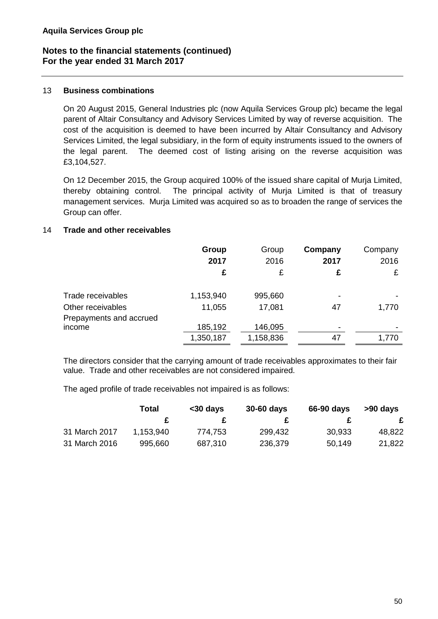#### 13 **Business combinations**

On 20 August 2015, General Industries plc (now Aquila Services Group plc) became the legal parent of Altair Consultancy and Advisory Services Limited by way of reverse acquisition. The cost of the acquisition is deemed to have been incurred by Altair Consultancy and Advisory Services Limited, the legal subsidiary, in the form of equity instruments issued to the owners of the legal parent. The deemed cost of listing arising on the reverse acquisition was £3,104,527.

On 12 December 2015, the Group acquired 100% of the issued share capital of Murja Limited, thereby obtaining control. The principal activity of Murja Limited is that of treasury management services. Murja Limited was acquired so as to broaden the range of services the Group can offer.

## 14 **Trade and other receivables**

|                                        | Group<br>2017<br>£  | Group<br>2016<br>£ | Company<br>2017<br>£ | Company<br>2016<br>£ |
|----------------------------------------|---------------------|--------------------|----------------------|----------------------|
| Trade receivables<br>Other receivables | 1,153,940<br>11,055 | 995,660<br>17,081  | 47                   | 1,770                |
| Prepayments and accrued<br>income      | 185,192             | 146,095            |                      |                      |
|                                        | 1,350,187           | 1,158,836          | 47                   | 1,770                |

The directors consider that the carrying amount of trade receivables approximates to their fair value. Trade and other receivables are not considered impaired.

The aged profile of trade receivables not impaired is as follows:

|               | <b>Total</b> | $30$ days | 30-60 days | 66-90 days | >90 days |
|---------------|--------------|-----------|------------|------------|----------|
|               |              |           |            |            | £        |
| 31 March 2017 | 1,153,940    | 774,753   | 299,432    | 30,933     | 48,822   |
| 31 March 2016 | 995,660      | 687,310   | 236,379    | 50,149     | 21,822   |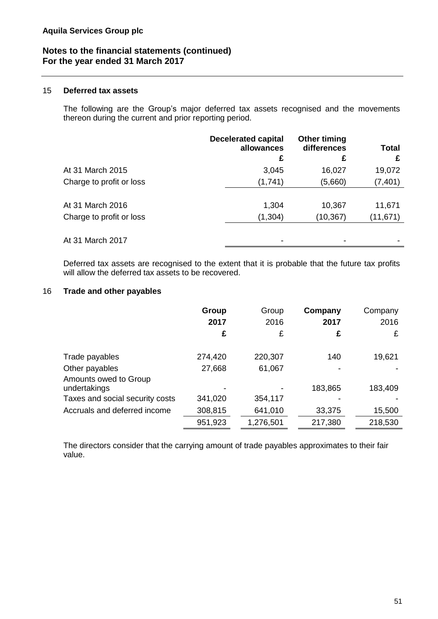#### 15 **Deferred tax assets**

The following are the Group's major deferred tax assets recognised and the movements thereon during the current and prior reporting period.

|                          | <b>Decelerated capital</b><br>allowances | <b>Other timing</b><br>differences | <b>Total</b> |
|--------------------------|------------------------------------------|------------------------------------|--------------|
|                          | £                                        | £                                  | £            |
| At 31 March 2015         | 3,045                                    | 16,027                             | 19,072       |
| Charge to profit or loss | (1,741)                                  | (5,660)                            | (7, 401)     |
|                          |                                          |                                    |              |
| At 31 March 2016         | 1,304                                    | 10,367                             | 11,671       |
| Charge to profit or loss | (1,304)                                  | (10, 367)                          | (11,671)     |
|                          |                                          |                                    |              |
| At 31 March 2017         | -                                        |                                    |              |

Deferred tax assets are recognised to the extent that it is probable that the future tax profits will allow the deferred tax assets to be recovered.

#### 16 **Trade and other payables**

|                                                           | Group<br>2017<br>£ | Group<br>2016<br>£ | Company<br>2017<br>£ | Company<br>2016<br>£ |
|-----------------------------------------------------------|--------------------|--------------------|----------------------|----------------------|
| Trade payables<br>Other payables<br>Amounts owed to Group | 274,420<br>27,668  | 220,307<br>61,067  | 140                  | 19,621               |
| undertakings                                              |                    |                    | 183,865              | 183,409              |
| Taxes and social security costs                           | 341,020            | 354,117            |                      |                      |
| Accruals and deferred income                              | 308,815            | 641,010            | 33,375               | 15,500               |
|                                                           | 951,923            | 1,276,501          | 217,380              | 218,530              |

The directors consider that the carrying amount of trade payables approximates to their fair value.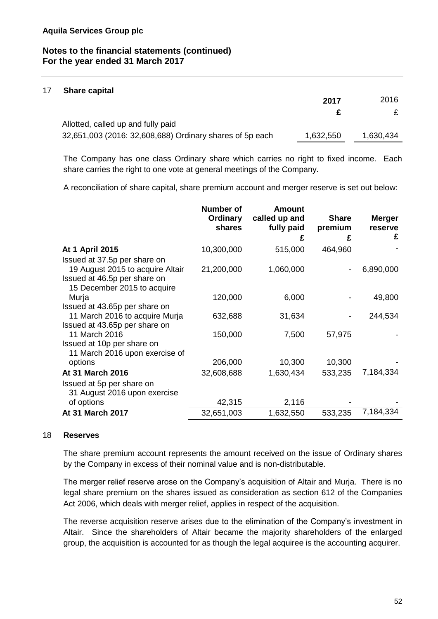#### 17 **Share capital**

|                                                          | 2017      | 2016      |
|----------------------------------------------------------|-----------|-----------|
|                                                          |           | £         |
| Allotted, called up and fully paid                       |           |           |
| 32,651,003 (2016: 32,608,688) Ordinary shares of 5p each | 1,632,550 | 1,630,434 |

The Company has one class Ordinary share which carries no right to fixed income. Each share carries the right to one vote at general meetings of the Company.

A reconciliation of share capital, share premium account and merger reserve is set out below:

|                                                           | Number of<br>Ordinary<br>shares | <b>Amount</b><br>called up and<br>fully paid | <b>Share</b><br>premium | <b>Merger</b><br>reserve |
|-----------------------------------------------------------|---------------------------------|----------------------------------------------|-------------------------|--------------------------|
|                                                           |                                 | £                                            | £                       | £                        |
| At 1 April 2015                                           | 10,300,000                      | 515,000                                      | 464,960                 |                          |
| Issued at 37.5p per share on                              |                                 |                                              |                         |                          |
| 19 August 2015 to acquire Altair                          | 21,200,000                      | 1,060,000                                    |                         | 6,890,000                |
| Issued at 46.5p per share on                              |                                 |                                              |                         |                          |
| 15 December 2015 to acquire                               |                                 |                                              |                         |                          |
| Murja                                                     | 120,000                         | 6,000                                        |                         | 49,800                   |
| Issued at 43.65p per share on                             |                                 |                                              |                         |                          |
| 11 March 2016 to acquire Murja                            | 632,688                         | 31,634                                       |                         | 244,534                  |
| Issued at 43.65p per share on                             |                                 |                                              |                         |                          |
| 11 March 2016                                             | 150,000                         | 7,500                                        | 57,975                  |                          |
| Issued at 10p per share on                                |                                 |                                              |                         |                          |
| 11 March 2016 upon exercise of                            |                                 |                                              |                         |                          |
| options                                                   | 206,000                         | 10,300                                       | 10,300                  |                          |
| At 31 March 2016                                          | 32,608,688                      | 1,630,434                                    | 533,235                 | 7,184,334                |
| Issued at 5p per share on<br>31 August 2016 upon exercise |                                 |                                              |                         |                          |
| of options                                                | 42,315                          | 2,116                                        |                         |                          |
| At 31 March 2017                                          | 32,651,003                      | 1,632,550                                    | 533,235                 | 7,184,334                |

#### 18 **Reserves**

The share premium account represents the amount received on the issue of Ordinary shares by the Company in excess of their nominal value and is non-distributable.

The merger relief reserve arose on the Company's acquisition of Altair and Murja. There is no legal share premium on the shares issued as consideration as section 612 of the Companies Act 2006, which deals with merger relief, applies in respect of the acquisition.

The reverse acquisition reserve arises due to the elimination of the Company's investment in Altair. Since the shareholders of Altair became the majority shareholders of the enlarged group, the acquisition is accounted for as though the legal acquiree is the accounting acquirer.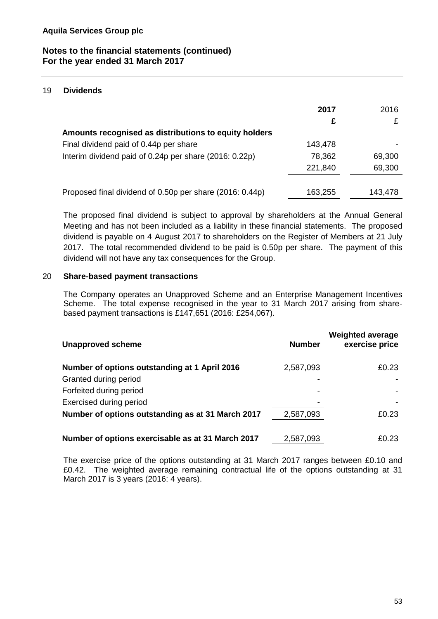#### 19 **Dividends**

|                                                          | 2017<br>£ | 2016    |
|----------------------------------------------------------|-----------|---------|
| Amounts recognised as distributions to equity holders    |           |         |
| Final dividend paid of 0.44p per share                   | 143,478   |         |
| Interim dividend paid of 0.24p per share (2016: 0.22p)   | 78,362    | 69,300  |
|                                                          | 221,840   | 69,300  |
|                                                          |           |         |
| Proposed final dividend of 0.50p per share (2016: 0.44p) | 163,255   | 143,478 |

The proposed final dividend is subject to approval by shareholders at the Annual General Meeting and has not been included as a liability in these financial statements. The proposed dividend is payable on 4 August 2017 to shareholders on the Register of Members at 21 July 2017. The total recommended dividend to be paid is 0.50p per share. The payment of this dividend will not have any tax consequences for the Group.

#### 20 **Share-based payment transactions**

The Company operates an Unapproved Scheme and an Enterprise Management Incentives Scheme. The total expense recognised in the year to 31 March 2017 arising from sharebased payment transactions is £147,651 (2016: £254,067).

| <b>Unapproved scheme</b>                          | <b>Number</b> | <b>Weighted average</b><br>exercise price |
|---------------------------------------------------|---------------|-------------------------------------------|
| Number of options outstanding at 1 April 2016     | 2,587,093     | £0.23                                     |
| Granted during period                             |               |                                           |
| Forfeited during period                           |               |                                           |
| Exercised during period                           |               |                                           |
| Number of options outstanding as at 31 March 2017 | 2,587,093     | £0.23                                     |
| Number of options exercisable as at 31 March 2017 | 2,587,093     | £0.23                                     |

The exercise price of the options outstanding at 31 March 2017 ranges between £0.10 and £0.42. The weighted average remaining contractual life of the options outstanding at 31 March 2017 is 3 years (2016: 4 years).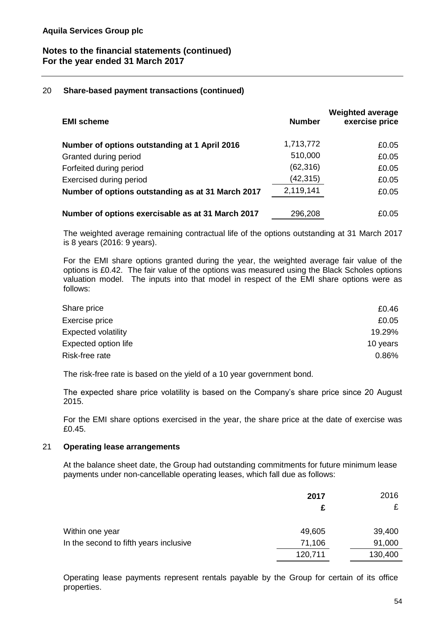#### 20 **Share-based payment transactions (continued)**

| <b>EMI scheme</b>                                 | <b>Number</b> | <b>Weighted average</b><br>exercise price |
|---------------------------------------------------|---------------|-------------------------------------------|
| Number of options outstanding at 1 April 2016     | 1,713,772     | £0.05                                     |
| Granted during period                             | 510,000       | £0.05                                     |
| Forfeited during period                           | (62, 316)     | £0.05                                     |
| <b>Exercised during period</b>                    | (42, 315)     | £0.05                                     |
| Number of options outstanding as at 31 March 2017 | 2,119,141     | £0.05                                     |
| Number of options exercisable as at 31 March 2017 | 296,208       | £0.05                                     |

The weighted average remaining contractual life of the options outstanding at 31 March 2017 is 8 years (2016: 9 years).

For the EMI share options granted during the year, the weighted average fair value of the options is £0.42. The fair value of the options was measured using the Black Scholes options valuation model. The inputs into that model in respect of the EMI share options were as follows:

| Share price                | £0.46    |
|----------------------------|----------|
| Exercise price             | £0.05    |
| <b>Expected volatility</b> | 19.29%   |
| Expected option life       | 10 years |
| Risk-free rate             | 0.86%    |

The risk-free rate is based on the yield of a 10 year government bond.

The expected share price volatility is based on the Company's share price since 20 August 2015.

For the EMI share options exercised in the year, the share price at the date of exercise was £0.45.

#### 21 **Operating lease arrangements**

At the balance sheet date, the Group had outstanding commitments for future minimum lease payments under non-cancellable operating leases, which fall due as follows:

|                                        | 2017<br>c | 2016    |
|----------------------------------------|-----------|---------|
| Within one year                        | 49,605    | 39,400  |
| In the second to fifth years inclusive | 71,106    | 91,000  |
|                                        | 120,711   | 130,400 |

Operating lease payments represent rentals payable by the Group for certain of its office properties.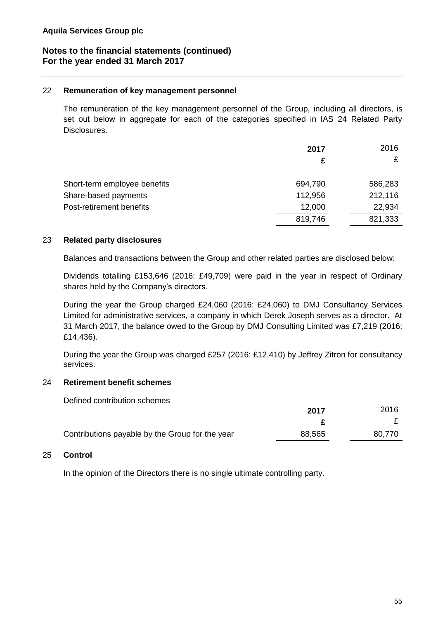#### 22 **Remuneration of key management personnel**

The remuneration of the key management personnel of the Group, including all directors, is set out below in aggregate for each of the categories specified in IAS 24 Related Party Disclosures.

|                              | 2017    | 2016    |
|------------------------------|---------|---------|
|                              |         | £       |
| Short-term employee benefits | 694,790 | 586,283 |
| Share-based payments         | 112,956 | 212,116 |
| Post-retirement benefits     | 12,000  | 22,934  |
|                              | 819,746 | 821,333 |

#### 23 **Related party disclosures**

Balances and transactions between the Group and other related parties are disclosed below:

Dividends totalling £153,646 (2016: £49,709) were paid in the year in respect of Ordinary shares held by the Company's directors.

During the year the Group charged £24,060 (2016: £24,060) to DMJ Consultancy Services Limited for administrative services, a company in which Derek Joseph serves as a director. At 31 March 2017, the balance owed to the Group by DMJ Consulting Limited was £7,219 (2016: £14,436).

During the year the Group was charged £257 (2016: £12,410) by Jeffrey Zitron for consultancy services.

#### 24 **Retirement benefit schemes**

Defined contribution schemes

|                                                 | 2017   | 2016   |
|-------------------------------------------------|--------|--------|
|                                                 |        |        |
| Contributions payable by the Group for the year | 88,565 | 80,770 |

#### 25 **Control**

In the opinion of the Directors there is no single ultimate controlling party.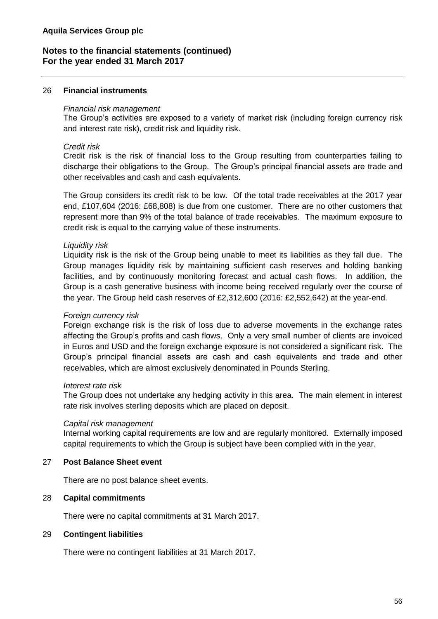#### 26 **Financial instruments**

#### *Financial risk management*

The Group's activities are exposed to a variety of market risk (including foreign currency risk and interest rate risk), credit risk and liquidity risk.

#### *Credit risk*

Credit risk is the risk of financial loss to the Group resulting from counterparties failing to discharge their obligations to the Group. The Group's principal financial assets are trade and other receivables and cash and cash equivalents.

The Group considers its credit risk to be low. Of the total trade receivables at the 2017 year end, £107,604 (2016: £68,808) is due from one customer. There are no other customers that represent more than 9% of the total balance of trade receivables. The maximum exposure to credit risk is equal to the carrying value of these instruments.

#### *Liquidity risk*

Liquidity risk is the risk of the Group being unable to meet its liabilities as they fall due. The Group manages liquidity risk by maintaining sufficient cash reserves and holding banking facilities, and by continuously monitoring forecast and actual cash flows. In addition, the Group is a cash generative business with income being received regularly over the course of the year. The Group held cash reserves of £2,312,600 (2016: £2,552,642) at the year-end.

#### *Foreign currency risk*

Foreign exchange risk is the risk of loss due to adverse movements in the exchange rates affecting the Group's profits and cash flows. Only a very small number of clients are invoiced in Euros and USD and the foreign exchange exposure is not considered a significant risk. The Group's principal financial assets are cash and cash equivalents and trade and other receivables, which are almost exclusively denominated in Pounds Sterling.

#### *Interest rate risk*

The Group does not undertake any hedging activity in this area. The main element in interest rate risk involves sterling deposits which are placed on deposit.

#### *Capital risk management*

Internal working capital requirements are low and are regularly monitored. Externally imposed capital requirements to which the Group is subject have been complied with in the year.

#### 27 **Post Balance Sheet event**

There are no post balance sheet events.

#### 28 **Capital commitments**

There were no capital commitments at 31 March 2017.

#### 29 **Contingent liabilities**

There were no contingent liabilities at 31 March 2017.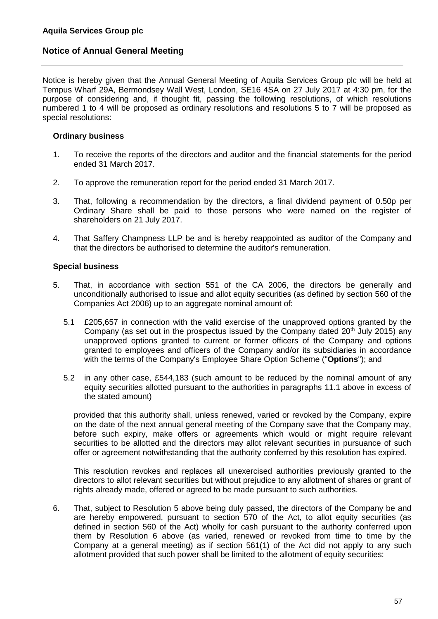Notice is hereby given that the Annual General Meeting of Aquila Services Group plc will be held at Tempus Wharf 29A, Bermondsey Wall West, London, SE16 4SA on 27 July 2017 at 4:30 pm, for the purpose of considering and, if thought fit, passing the following resolutions, of which resolutions numbered 1 to 4 will be proposed as ordinary resolutions and resolutions 5 to 7 will be proposed as special resolutions:

#### **Ordinary business**

- 1. To receive the reports of the directors and auditor and the financial statements for the period ended 31 March 2017.
- 2. To approve the remuneration report for the period ended 31 March 2017.
- 3. That, following a recommendation by the directors, a final dividend payment of 0.50p per Ordinary Share shall be paid to those persons who were named on the register of shareholders on 21 July 2017.
- 4. That Saffery Champness LLP be and is hereby reappointed as auditor of the Company and that the directors be authorised to determine the auditor's remuneration.

#### **Special business**

- 5. That, in accordance with section 551 of the CA 2006, the directors be generally and unconditionally authorised to issue and allot equity securities (as defined by section 560 of the Companies Act 2006) up to an aggregate nominal amount of:
	- 5.1 £205,657 in connection with the valid exercise of the unapproved options granted by the Company (as set out in the prospectus issued by the Company dated  $20<sup>th</sup>$  July 2015) any unapproved options granted to current or former officers of the Company and options granted to employees and officers of the Company and/or its subsidiaries in accordance with the terms of the Company's Employee Share Option Scheme ("**Options**"); and
	- 5.2 in any other case, £544,183 (such amount to be reduced by the nominal amount of any equity securities allotted pursuant to the authorities in paragraphs 11.1 above in excess of the stated amount)

provided that this authority shall, unless renewed, varied or revoked by the Company, expire on the date of the next annual general meeting of the Company save that the Company may, before such expiry, make offers or agreements which would or might require relevant securities to be allotted and the directors may allot relevant securities in pursuance of such offer or agreement notwithstanding that the authority conferred by this resolution has expired.

This resolution revokes and replaces all unexercised authorities previously granted to the directors to allot relevant securities but without prejudice to any allotment of shares or grant of rights already made, offered or agreed to be made pursuant to such authorities.

6. That, subject to Resolution 5 above being duly passed, the directors of the Company be and are hereby empowered, pursuant to section 570 of the Act, to allot equity securities (as defined in section 560 of the Act) wholly for cash pursuant to the authority conferred upon them by Resolution 6 above (as varied, renewed or revoked from time to time by the Company at a general meeting) as if section 561(1) of the Act did not apply to any such allotment provided that such power shall be limited to the allotment of equity securities: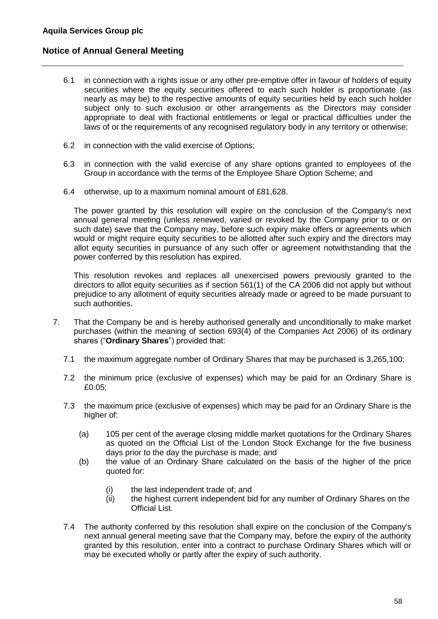- 6.1 in connection with a rights issue or any other pre-emptive offer in favour of holders of equity securities where the equity securities offered to each such holder is proportionate (as nearly as may be) to the respective amounts of equity securities held by each such holder subject only to such exclusion or other arrangements as the Directors may consider appropriate to deal with fractional entitlements or legal or practical difficulties under the laws of or the requirements of any recognised regulatory body in any territory or otherwise;
- 6.2 in connection with the valid exercise of Options;
- 6.3 in connection with the valid exercise of any share options granted to employees of the Group in accordance with the terms of the Employee Share Option Scheme; and
- 6.4 otherwise, up to a maximum nominal amount of £81,628.

The power granted by this resolution will expire on the conclusion of the Company's next annual general meeting (unless renewed, varied or revoked by the Company prior to or on such date) save that the Company may, before such expiry make offers or agreements which would or might require equity securities to be allotted after such expiry and the directors may allot equity securities in pursuance of any such offer or agreement notwithstanding that the power conferred by this resolution has expired.

This resolution revokes and replaces all unexercised powers previously granted to the directors to allot equity securities as if section 561(1) of the CA 2006 did not apply but without prejudice to any allotment of equity securities already made or agreed to be made pursuant to such authorities.

- 7. That the Company be and is hereby authorised generally and unconditionally to make market purchases (within the meaning of section 693(4) of the Companies Act 2006) of its ordinary shares ("**Ordinary Shares**") provided that:
	- 7.1 the maximum aggregate number of Ordinary Shares that may be purchased is 3,265,100;
	- 7.2 the minimum price (exclusive of expenses) which may be paid for an Ordinary Share is £0.05;
	- 7.3 the maximum price (exclusive of expenses) which may be paid for an Ordinary Share is the higher of:
		- (a) 105 per cent of the average closing middle market quotations for the Ordinary Shares as quoted on the Official List of the London Stock Exchange for the five business days prior to the day the purchase is made; and
		- (b) the value of an Ordinary Share calculated on the basis of the higher of the price quoted for:
			- (i) the last independent trade of; and
			- (ii) the highest current independent bid for any number of Ordinary Shares on the Official List.
	- 7.4 The authority conferred by this resolution shall expire on the conclusion of the Company's next annual general meeting save that the Company may, before the expiry of the authority granted by this resolution, enter into a contract to purchase Ordinary Shares which will or may be executed wholly or partly after the expiry of such authority.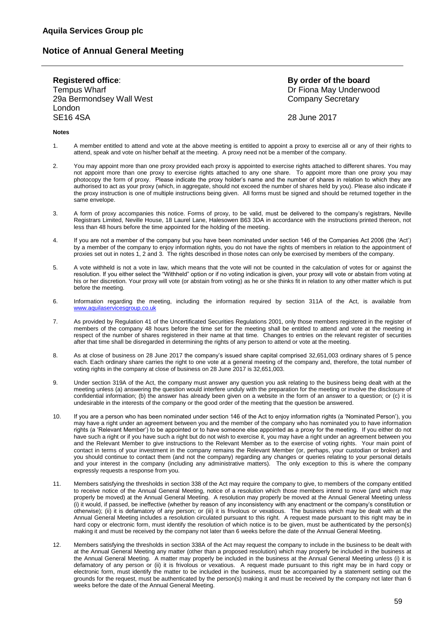**Registered office**: **By order of the board** Tempus Wharf **Dr Fiona May Underwood** 29a Bermondsey Wall West Company Secretary Company Secretary London SE16 4SA 28 June 2017

#### **Notes**

- 1. A member entitled to attend and vote at the above meeting is entitled to appoint a proxy to exercise all or any of their rights to attend, speak and vote on his/her behalf at the meeting. A proxy need not be a member of the company.
- 2. You may appoint more than one proxy provided each proxy is appointed to exercise rights attached to different shares. You may not appoint more than one proxy to exercise rights attached to any one share. To appoint more than one proxy you may photocopy the form of proxy. Please indicate the proxy holder's name and the number of shares in relation to which they are authorised to act as your proxy (which, in aggregate, should not exceed the number of shares held by you). Please also indicate if the proxy instruction is one of multiple instructions being given. All forms must be signed and should be returned together in the same envelope.
- 3. A form of proxy accompanies this notice. Forms of proxy, to be valid, must be delivered to the company's registrars, Neville Registrars Limited, Neville House, 18 Laurel Lane, Halesowen B63 3DA in accordance with the instructions printed thereon, not less than 48 hours before the time appointed for the holding of the meeting.
- 4. If you are not a member of the company but you have been nominated under section 146 of the Companies Act 2006 (the 'Act') by a member of the company to enjoy information rights, you do not have the rights of members in relation to the appointment of proxies set out in notes 1, 2 and 3. The rights described in those notes can only be exercised by members of the company.
- 5. A vote withheld is not a vote in law, which means that the vote will not be counted in the calculation of votes for or against the resolution. If you either select the "Withheld" option or if no voting indication is given, your proxy will vote or abstain from voting at his or her discretion. Your proxy will vote (or abstain from voting) as he or she thinks fit in relation to any other matter which is put before the meeting.
- 6. Information regarding the meeting, including the information required by section 311A of the Act, is available from [www.aquilaservicesgroup.co.uk](http://www.aquilaservicesgroup.co.uk/)
- 7. As provided by Regulation 41 of the Uncertificated Securities Regulations 2001, only those members registered in the register of members of the company 48 hours before the time set for the meeting shall be entitled to attend and vote at the meeting in respect of the number of shares registered in their name at that time. Changes to entries on the relevant register of securities after that time shall be disregarded in determining the rights of any person to attend or vote at the meeting.
- 8. As at close of business on 28 June 2017 the company's issued share capital comprised 32,651,003 ordinary shares of 5 pence each. Each ordinary share carries the right to one vote at a general meeting of the company and, therefore, the total number of voting rights in the company at close of business on 28 June 2017 is 32,651,003.
- 9. Under section 319A of the Act, the company must answer any question you ask relating to the business being dealt with at the meeting unless (a) answering the question would interfere unduly with the preparation for the meeting or involve the disclosure of confidential information; (b) the answer has already been given on a website in the form of an answer to a question; or (c) it is undesirable in the interests of the company or the good order of the meeting that the question be answered.
- 10. If you are a person who has been nominated under section 146 of the Act to enjoy information rights (a 'Nominated Person'), you may have a right under an agreement between you and the member of the company who has nominated you to have information rights (a 'Relevant Member') to be appointed or to have someone else appointed as a proxy for the meeting. If you either do not have such a right or if you have such a right but do not wish to exercise it, you may have a right under an agreement between you and the Relevant Member to give instructions to the Relevant Member as to the exercise of voting rights. Your main point of contact in terms of your investment in the company remains the Relevant Member (or, perhaps, your custodian or broker) and you should continue to contact them (and not the company) regarding any changes or queries relating to your personal details and your interest in the company (including any administrative matters). The only exception to this is where the company expressly requests a response from you.
- 11. Members satisfying the thresholds in section 338 of the Act may require the company to give, to members of the company entitled to receive notice of the Annual General Meeting, notice of a resolution which those members intend to move (and which may properly be moved) at the Annual General Meeting. A resolution may properly be moved at the Annual General Meeting unless (i) it would, if passed, be ineffective (whether by reason of any inconsistency with any enactment or the company's constitution or otherwise); (ii) it is defamatory of any person; or (iii) it is frivolous or vexatious. The business which may be dealt with at the Annual General Meeting includes a resolution circulated pursuant to this right. A request made pursuant to this right may be in hard copy or electronic form, must identify the resolution of which notice is to be given, must be authenticated by the person(s) making it and must be received by the company not later than 6 weeks before the date of the Annual General Meeting.
- 12. Members satisfying the thresholds in section 338A of the Act may request the company to include in the business to be dealt with at the Annual General Meeting any matter (other than a proposed resolution) which may properly be included in the business at the Annual General Meeting. A matter may properly be included in the business at the Annual General Meeting unless (i) it is defamatory of any person or (ii) it is frivolous or vexatious. A request made pursuant to this right may be in hard copy or electronic form, must identify the matter to be included in the business, must be accompanied by a statement setting out the grounds for the request, must be authenticated by the person(s) making it and must be received by the company not later than 6 weeks before the date of the Annual General Meeting.